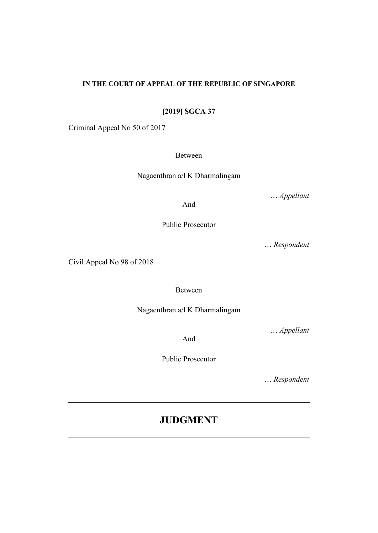# **IN THE COURT OF APPEAL OF THE REPUBLIC OF SINGAPORE**

**[2019] SGCA 37**

Criminal Appeal No 50 of 2017

Between

Nagaenthran a/l K Dharmalingam

… *Appellant*

And

Public Prosecutor

… *Respondent*

Civil Appeal No 98 of 2018

Between

Nagaenthran a/l K Dharmalingam

… *Appellant*

And

Public Prosecutor

… *Respondent*

# **JUDGMENT**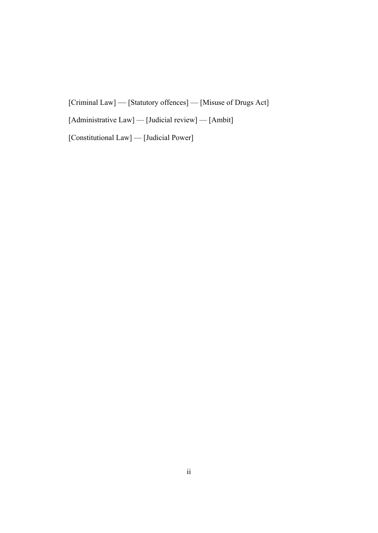[Criminal Law] — [Statutory offences] — [Misuse of Drugs Act]

[Administrative Law] — [Judicial review] — [Ambit]

[Constitutional Law] — [Judicial Power]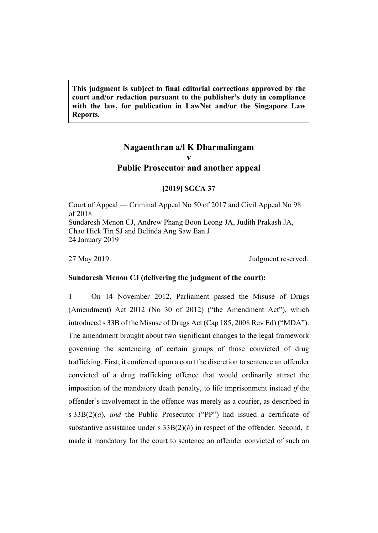**This judgment is subject to final editorial corrections approved by the court and/or redaction pursuant to the publisher's duty in compliance with the law, for publication in LawNet and/or the Singapore Law Reports.**

# **Nagaenthran a/l K Dharmalingam v Public Prosecutor and another appeal**

# **[2019] SGCA 37**

Court of Appeal — Criminal Appeal No 50 of 2017 and Civil Appeal No 98 of 2018 Sundaresh Menon CJ, Andrew Phang Boon Leong JA, Judith Prakash JA, Chao Hick Tin SJ and Belinda Ang Saw Ean J 24 January 2019

27 May 2019 Judgment reserved.

#### **Sundaresh Menon CJ (delivering the judgment of the court):**

1 On 14 November 2012, Parliament passed the Misuse of Drugs (Amendment) Act 2012 (No 30 of 2012) ("the Amendment Act"), which introduced s 33B of the Misuse of Drugs Act (Cap 185, 2008 Rev Ed) ("MDA"). The amendment brought about two significant changes to the legal framework governing the sentencing of certain groups of those convicted of drug trafficking. First, it conferred upon a court the discretion to sentence an offender convicted of a drug trafficking offence that would ordinarily attract the imposition of the mandatory death penalty, to life imprisonment instead *if* the offender's involvement in the offence was merely as a courier, as described in s 33B(2)(*a*), *and* the Public Prosecutor ("PP") had issued a certificate of substantive assistance under s 33B(2)(*b*) in respect of the offender. Second, it made it mandatory for the court to sentence an offender convicted of such an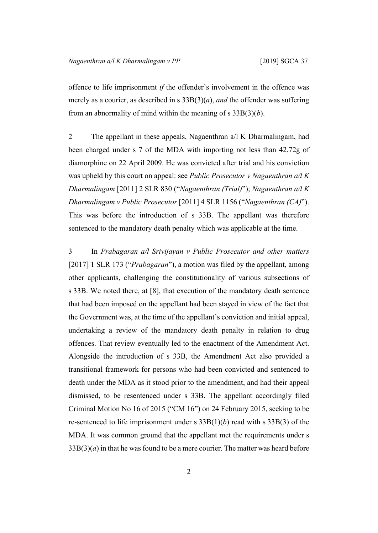offence to life imprisonment *if* the offender's involvement in the offence was merely as a courier, as described in s 33B(3)(*a*), *and* the offender was suffering from an abnormality of mind within the meaning of s 33B(3)(*b*).

2 The appellant in these appeals, Nagaenthran a/l K Dharmalingam, had been charged under s 7 of the MDA with importing not less than 42.72g of diamorphine on 22 April 2009. He was convicted after trial and his conviction was upheld by this court on appeal: see *Public Prosecutor v Nagaenthran a/l K Dharmalingam* [2011] 2 SLR 830 ("*Nagaenthran (Trial)*"); *Nagaenthran a/l K Dharmalingam v Public Prosecutor* [2011] 4 SLR 1156 ("*Nagaenthran (CA)*"). This was before the introduction of s 33B. The appellant was therefore sentenced to the mandatory death penalty which was applicable at the time.

<span id="page-3-0"></span>3 In *Prabagaran a/l Srivijayan v Public Prosecutor and other matters* [2017] 1 SLR 173 ("*Prabagaran*"), a motion was filed by the appellant, among other applicants, challenging the constitutionality of various subsections of s 33B. We noted there, at [8], that execution of the mandatory death sentence that had been imposed on the appellant had been stayed in view of the fact that the Government was, at the time of the appellant's conviction and initial appeal, undertaking a review of the mandatory death penalty in relation to drug offences. That review eventually led to the enactment of the Amendment Act. Alongside the introduction of s 33B, the Amendment Act also provided a transitional framework for persons who had been convicted and sentenced to death under the MDA as it stood prior to the amendment, and had their appeal dismissed, to be resentenced under s 33B. The appellant accordingly filed Criminal Motion No 16 of 2015 ("CM 16") on 24 February 2015, seeking to be re-sentenced to life imprisonment under s 33B(1)(*b*) read with s 33B(3) of the MDA. It was common ground that the appellant met the requirements under s  $33B(3)(a)$  in that he was found to be a mere courier. The matter was heard before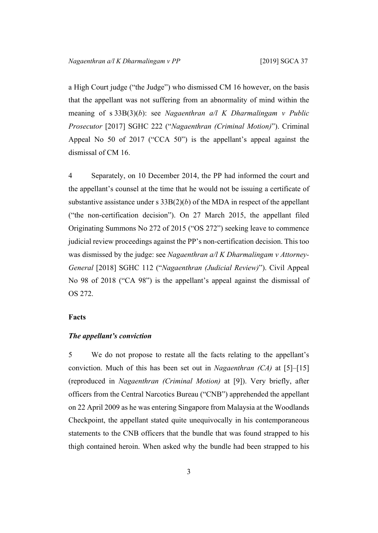a High Court judge ("the Judge") who dismissed CM 16 however, on the basis that the appellant was not suffering from an abnormality of mind within the meaning of s 33B(3)(*b*): see *Nagaenthran a/l K Dharmalingam v Public Prosecutor* [2017] SGHC 222 ("*Nagaenthran (Criminal Motion)*"). Criminal Appeal No 50 of 2017 ("CCA 50") is the appellant's appeal against the dismissal of CM 16.

4 Separately, on 10 December 2014, the PP had informed the court and the appellant's counsel at the time that he would not be issuing a certificate of substantive assistance under s  $33B(2)(b)$  of the MDA in respect of the appellant ("the non-certification decision"). On 27 March 2015, the appellant filed Originating Summons No 272 of 2015 ("OS 272") seeking leave to commence judicial review proceedings against the PP's non-certification decision. This too was dismissed by the judge: see *Nagaenthran a/l K Dharmalingam v Attorney-General* [2018] SGHC 112 ("*Nagaenthran (Judicial Review)*"). Civil Appeal No 98 of 2018 ("CA 98") is the appellant's appeal against the dismissal of OS 272.

# **Facts**

# *The appellant's conviction*

5 We do not propose to restate all the facts relating to the appellant's conviction. Much of this has been set out in *Nagaenthran (CA)* at [5]–[15] (reproduced in *Nagaenthran (Criminal Motion)* at [9]). Very briefly, after officers from the Central Narcotics Bureau ("CNB") apprehended the appellant on 22 April 2009 as he was entering Singapore from Malaysia at the Woodlands Checkpoint, the appellant stated quite unequivocally in his contemporaneous statements to the CNB officers that the bundle that was found strapped to his thigh contained heroin. When asked why the bundle had been strapped to his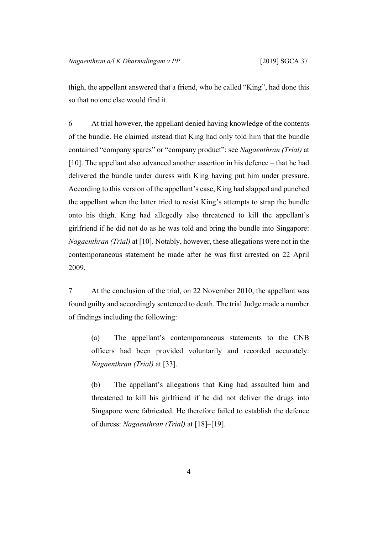thigh, the appellant answered that a friend, who he called "King", had done this so that no one else would find it.

6 At trial however, the appellant denied having knowledge of the contents of the bundle. He claimed instead that King had only told him that the bundle contained "company spares" or "company product": see *Nagaenthran (Trial)* at [10]. The appellant also advanced another assertion in his defence – that he had delivered the bundle under duress with King having put him under pressure. According to this version of the appellant's case, King had slapped and punched the appellant when the latter tried to resist King's attempts to strap the bundle onto his thigh. King had allegedly also threatened to kill the appellant's girlfriend if he did not do as he was told and bring the bundle into Singapore: *Nagaenthran (Trial)* at [10]. Notably, however, these allegations were not in the contemporaneous statement he made after he was first arrested on 22 April 2009.

7 At the conclusion of the trial, on 22 November 2010, the appellant was found guilty and accordingly sentenced to death. The trial Judge made a number of findings including the following:

(a) The appellant's contemporaneous statements to the CNB officers had been provided voluntarily and recorded accurately: *Nagaenthran (Trial)* at [33].

(b) The appellant's allegations that King had assaulted him and threatened to kill his girlfriend if he did not deliver the drugs into Singapore were fabricated. He therefore failed to establish the defence of duress: *Nagaenthran (Trial)* at [18]–[19].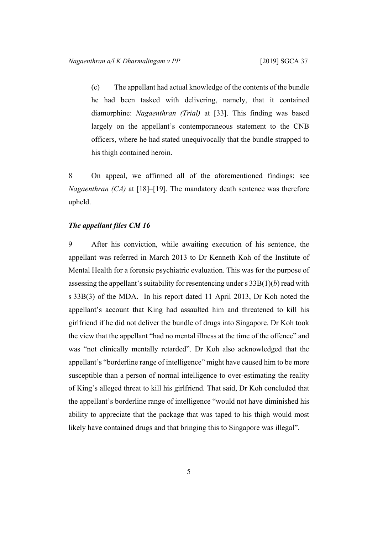(c) The appellant had actual knowledge of the contents of the bundle he had been tasked with delivering, namely, that it contained diamorphine: *Nagaenthran (Trial)* at [33]. This finding was based largely on the appellant's contemporaneous statement to the CNB officers, where he had stated unequivocally that the bundle strapped to his thigh contained heroin.

8 On appeal, we affirmed all of the aforementioned findings: see *Nagaenthran (CA)* at [18]–[19]. The mandatory death sentence was therefore upheld.

# *The appellant files CM 16*

9 After his conviction, while awaiting execution of his sentence, the appellant was referred in March 2013 to Dr Kenneth Koh of the Institute of Mental Health for a forensic psychiatric evaluation. This was for the purpose of assessing the appellant's suitability for resentencing under  $s$  33B(1)(*b*) read with s 33B(3) of the MDA. In his report dated 11 April 2013, Dr Koh noted the appellant's account that King had assaulted him and threatened to kill his girlfriend if he did not deliver the bundle of drugs into Singapore. Dr Koh took the view that the appellant "had no mental illness at the time of the offence" and was "not clinically mentally retarded". Dr Koh also acknowledged that the appellant's "borderline range of intelligence" might have caused him to be more susceptible than a person of normal intelligence to over-estimating the reality of King's alleged threat to kill his girlfriend. That said, Dr Koh concluded that the appellant's borderline range of intelligence "would not have diminished his ability to appreciate that the package that was taped to his thigh would most likely have contained drugs and that bringing this to Singapore was illegal".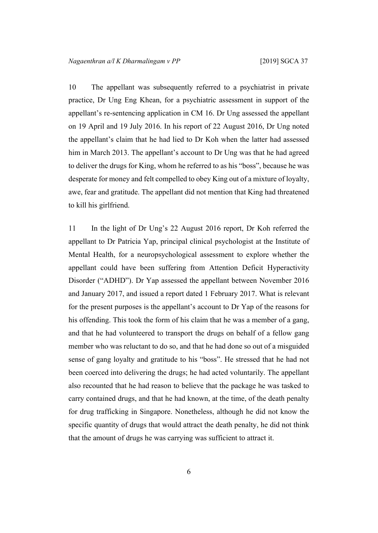<span id="page-7-0"></span>10 The appellant was subsequently referred to a psychiatrist in private practice, Dr Ung Eng Khean, for a psychiatric assessment in support of the appellant's re-sentencing application in CM 16. Dr Ung assessed the appellant on 19 April and 19 July 2016. In his report of 22 August 2016, Dr Ung noted the appellant's claim that he had lied to Dr Koh when the latter had assessed him in March 2013. The appellant's account to Dr Ung was that he had agreed to deliver the drugs for King, whom he referred to as his "boss", because he was desperate for money and felt compelled to obey King out of a mixture of loyalty, awe, fear and gratitude. The appellant did not mention that King had threatened to kill his girlfriend.

11 In the light of Dr Ung's 22 August 2016 report, Dr Koh referred the appellant to Dr Patricia Yap, principal clinical psychologist at the Institute of Mental Health, for a neuropsychological assessment to explore whether the appellant could have been suffering from Attention Deficit Hyperactivity Disorder ("ADHD"). Dr Yap assessed the appellant between November 2016 and January 2017, and issued a report dated 1 February 2017. What is relevant for the present purposes is the appellant's account to Dr Yap of the reasons for his offending. This took the form of his claim that he was a member of a gang, and that he had volunteered to transport the drugs on behalf of a fellow gang member who was reluctant to do so, and that he had done so out of a misguided sense of gang loyalty and gratitude to his "boss". He stressed that he had not been coerced into delivering the drugs; he had acted voluntarily. The appellant also recounted that he had reason to believe that the package he was tasked to carry contained drugs, and that he had known, at the time, of the death penalty for drug trafficking in Singapore. Nonetheless, although he did not know the specific quantity of drugs that would attract the death penalty, he did not think that the amount of drugs he was carrying was sufficient to attract it.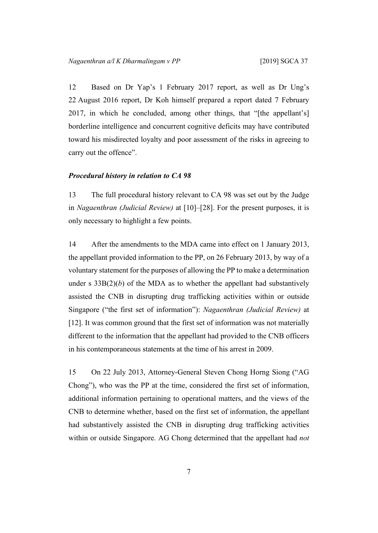<span id="page-8-0"></span>12 Based on Dr Yap's 1 February 2017 report, as well as Dr Ung's 22 August 2016 report, Dr Koh himself prepared a report dated 7 February 2017, in which he concluded, among other things, that "[the appellant's] borderline intelligence and concurrent cognitive deficits may have contributed toward his misdirected loyalty and poor assessment of the risks in agreeing to carry out the offence".

#### *Procedural history in relation to CA 98*

13 The full procedural history relevant to CA 98 was set out by the Judge in *Nagaenthran (Judicial Review)* at [10]–[28]. For the present purposes, it is only necessary to highlight a few points.

<span id="page-8-1"></span>14 After the amendments to the MDA came into effect on 1 January 2013, the appellant provided information to the PP, on 26 February 2013, by way of a voluntary statement for the purposes of allowing the PP to make a determination under s  $33B(2)(b)$  of the MDA as to whether the appellant had substantively assisted the CNB in disrupting drug trafficking activities within or outside Singapore ("the first set of information"): *Nagaenthran (Judicial Review)* at [12]. It was common ground that the first set of information was not materially different to the information that the appellant had provided to the CNB officers in his contemporaneous statements at the time of his arrest in 2009.

<span id="page-8-2"></span>15 On 22 July 2013, Attorney-General Steven Chong Horng Siong ("AG Chong"), who was the PP at the time, considered the first set of information, additional information pertaining to operational matters, and the views of the CNB to determine whether, based on the first set of information, the appellant had substantively assisted the CNB in disrupting drug trafficking activities within or outside Singapore. AG Chong determined that the appellant had *not*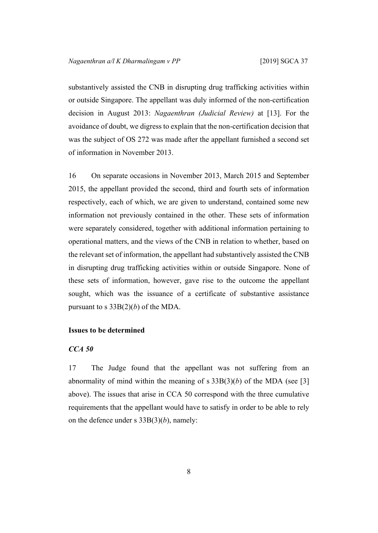substantively assisted the CNB in disrupting drug trafficking activities within or outside Singapore. The appellant was duly informed of the non-certification decision in August 2013: *Nagaenthran (Judicial Review)* at [13]. For the avoidance of doubt, we digress to explain that the non-certification decision that was the subject of OS 272 was made after the appellant furnished a second set of information in November 2013.

16 On separate occasions in November 2013, March 2015 and September 2015, the appellant provided the second, third and fourth sets of information respectively, each of which, we are given to understand, contained some new information not previously contained in the other. These sets of information were separately considered, together with additional information pertaining to operational matters, and the views of the CNB in relation to whether, based on the relevant set of information, the appellant had substantively assisted the CNB in disrupting drug trafficking activities within or outside Singapore. None of these sets of information, however, gave rise to the outcome the appellant sought, which was the issuance of a certificate of substantive assistance pursuant to s  $33B(2)(b)$  of the MDA.

# **Issues to be determined**

# *CCA 50*

17 The Judge found that the appellant was not suffering from an abnormality of mind within the meaning of s  $33B(3)(b)$  of the MDA (see [\[3](#page-3-0)] above). The issues that arise in CCA 50 correspond with the three cumulative requirements that the appellant would have to satisfy in order to be able to rely on the defence under s 33B(3)(*b*), namely: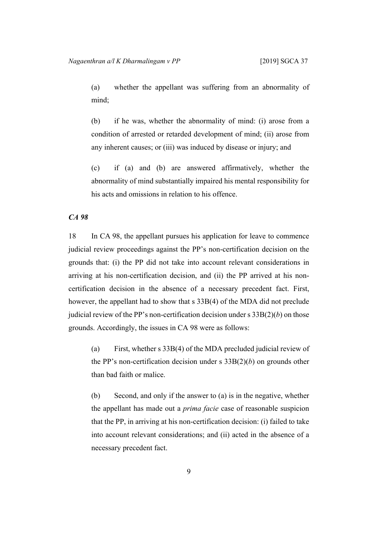(a) whether the appellant was suffering from an abnormality of mind;

(b) if he was, whether the abnormality of mind: (i) arose from a condition of arrested or retarded development of mind; (ii) arose from any inherent causes; or (iii) was induced by disease or injury; and

(c) if (a) and (b) are answered affirmatively, whether the abnormality of mind substantially impaired his mental responsibility for his acts and omissions in relation to his offence.

# *CA 98*

18 In CA 98, the appellant pursues his application for leave to commence judicial review proceedings against the PP's non-certification decision on the grounds that: (i) the PP did not take into account relevant considerations in arriving at his non-certification decision, and (ii) the PP arrived at his noncertification decision in the absence of a necessary precedent fact. First, however, the appellant had to show that s 33B(4) of the MDA did not preclude judicial review of the PP's non-certification decision under s 33B(2)(*b*) on those grounds. Accordingly, the issues in CA 98 were as follows:

(a) First, whether s 33B(4) of the MDA precluded judicial review of the PP's non-certification decision under s 33B(2)(*b*) on grounds other than bad faith or malice.

(b) Second, and only if the answer to (a) is in the negative, whether the appellant has made out a *prima facie* case of reasonable suspicion that the PP, in arriving at his non-certification decision: (i) failed to take into account relevant considerations; and (ii) acted in the absence of a necessary precedent fact.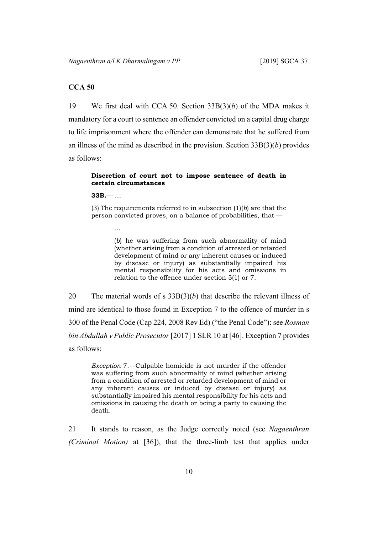# **CCA 50**

19 We first deal with CCA 50. Section 33B(3)(*b*) of the MDA makes it mandatory for a court to sentence an offender convicted on a capital drug charge to life imprisonment where the offender can demonstrate that he suffered from an illness of the mind as described in the provision. Section 33B(3)(*b*) provides as follows:

# **Discretion of court not to impose sentence of death in certain circumstances**

**33B.**— …

…

(3) The requirements referred to in subsection (1)(*b*) are that the person convicted proves, on a balance of probabilities, that —

> (*b*) he was suffering from such abnormality of mind (whether arising from a condition of arrested or retarded development of mind or any inherent causes or induced by disease or injury) as substantially impaired his mental responsibility for his acts and omissions in relation to the offence under section 5(1) or 7.

20 The material words of s 33B(3)(*b*) that describe the relevant illness of mind are identical to those found in Exception 7 to the offence of murder in s 300 of the Penal Code (Cap 224, 2008 Rev Ed) ("the Penal Code"): see *Rosman bin Abdullah v Public Prosecutor* [2017] 1 SLR 10 at [46]. Exception 7 provides as follows:

*Exception* 7.—Culpable homicide is not murder if the offender was suffering from such abnormality of mind (whether arising from a condition of arrested or retarded development of mind or any inherent causes or induced by disease or injury) as substantially impaired his mental responsibility for his acts and omissions in causing the death or being a party to causing the death.

21 It stands to reason, as the Judge correctly noted (see *Nagaenthran (Criminal Motion)* at [36]), that the three-limb test that applies under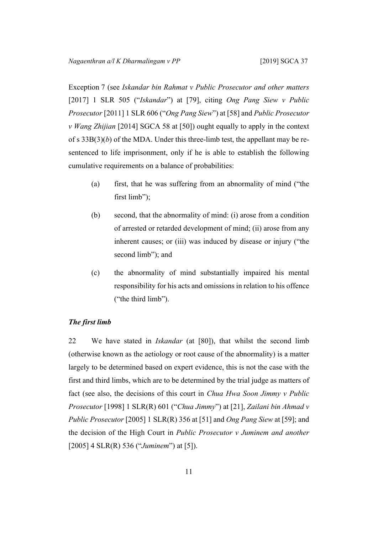Exception 7 (see *Iskandar bin Rahmat v Public Prosecutor and other matters* [2017] 1 SLR 505 ("*Iskandar*") at [79], citing *Ong Pang Siew v Public Prosecutor* [2011] 1 SLR 606 ("*Ong Pang Siew*") at [58] and *Public Prosecutor v Wang Zhijian* [2014] SGCA 58 at [50]) ought equally to apply in the context of s 33B(3)(*b*) of the MDA. Under this three-limb test, the appellant may be resentenced to life imprisonment, only if he is able to establish the following cumulative requirements on a balance of probabilities:

- (a) first, that he was suffering from an abnormality of mind ("the first limb");
- (b) second, that the abnormality of mind: (i) arose from a condition of arrested or retarded development of mind; (ii) arose from any inherent causes; or (iii) was induced by disease or injury ("the second limb"); and
- (c) the abnormality of mind substantially impaired his mental responsibility for his acts and omissions in relation to his offence ("the third limb").

# *The first limb*

22 We have stated in *Iskandar* (at [80]), that whilst the second limb (otherwise known as the aetiology or root cause of the abnormality) is a matter largely to be determined based on expert evidence, this is not the case with the first and third limbs, which are to be determined by the trial judge as matters of fact (see also, the decisions of this court in *Chua Hwa Soon Jimmy v Public Prosecutor* [1998] 1 SLR(R) 601 ("*Chua Jimmy*") at [21], *Zailani bin Ahmad v Public Prosecutor* [2005] 1 SLR(R) 356 at [51] and *Ong Pang Siew* at [59]; and the decision of the High Court in *Public Prosecutor v Juminem and another* [2005] 4 SLR(R) 536 ("*Juminem*") at [5]).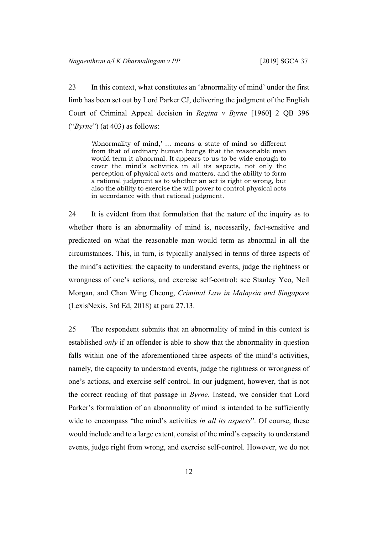23 In this context, what constitutes an 'abnormality of mind' under the first limb has been set out by Lord Parker CJ, delivering the judgment of the English Court of Criminal Appeal decision in *Regina v Byrne* [1960] 2 QB 396 ("*Byrne*") (at 403) as follows:

'Abnormality of mind,' … means a state of mind so different from that of ordinary human beings that the reasonable man would term it abnormal. It appears to us to be wide enough to cover the mind's activities in all its aspects, not only the perception of physical acts and matters, and the ability to form a rational judgment as to whether an act is right or wrong, but also the ability to exercise the will power to control physical acts in accordance with that rational judgment.

24 It is evident from that formulation that the nature of the inquiry as to whether there is an abnormality of mind is, necessarily, fact-sensitive and predicated on what the reasonable man would term as abnormal in all the circumstances. This, in turn, is typically analysed in terms of three aspects of the mind's activities: the capacity to understand events, judge the rightness or wrongness of one's actions, and exercise self-control: see Stanley Yeo, Neil Morgan, and Chan Wing Cheong, *Criminal Law in Malaysia and Singapore* (LexisNexis, 3rd Ed, 2018) at para 27.13.

25 The respondent submits that an abnormality of mind in this context is established *only* if an offender is able to show that the abnormality in question falls within one of the aforementioned three aspects of the mind's activities, namely*,* the capacity to understand events, judge the rightness or wrongness of one's actions, and exercise self-control. In our judgment, however, that is not the correct reading of that passage in *Byrne*. Instead, we consider that Lord Parker's formulation of an abnormality of mind is intended to be sufficiently wide to encompass "the mind's activities *in all its aspects*". Of course, these would include and to a large extent, consist of the mind's capacity to understand events, judge right from wrong, and exercise self-control. However, we do not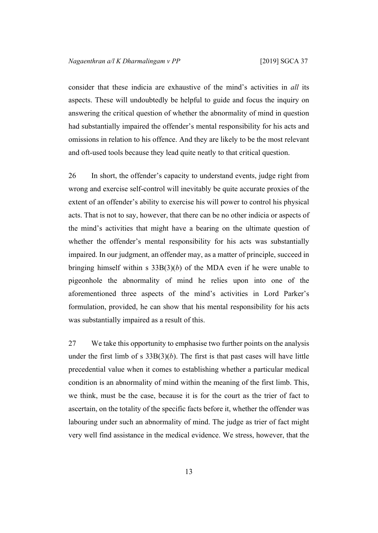consider that these indicia are exhaustive of the mind's activities in *all* its aspects. These will undoubtedly be helpful to guide and focus the inquiry on answering the critical question of whether the abnormality of mind in question had substantially impaired the offender's mental responsibility for his acts and omissions in relation to his offence. And they are likely to be the most relevant and oft-used tools because they lead quite neatly to that critical question.

26 In short, the offender's capacity to understand events, judge right from wrong and exercise self-control will inevitably be quite accurate proxies of the extent of an offender's ability to exercise his will power to control his physical acts. That is not to say, however, that there can be no other indicia or aspects of the mind's activities that might have a bearing on the ultimate question of whether the offender's mental responsibility for his acts was substantially impaired. In our judgment, an offender may, as a matter of principle, succeed in bringing himself within s  $33B(3)(b)$  of the MDA even if he were unable to pigeonhole the abnormality of mind he relies upon into one of the aforementioned three aspects of the mind's activities in Lord Parker's formulation, provided, he can show that his mental responsibility for his acts was substantially impaired as a result of this.

27 We take this opportunity to emphasise two further points on the analysis under the first limb of s  $33B(3)(b)$ . The first is that past cases will have little precedential value when it comes to establishing whether a particular medical condition is an abnormality of mind within the meaning of the first limb. This, we think, must be the case, because it is for the court as the trier of fact to ascertain, on the totality of the specific facts before it, whether the offender was labouring under such an abnormality of mind. The judge as trier of fact might very well find assistance in the medical evidence. We stress, however, that the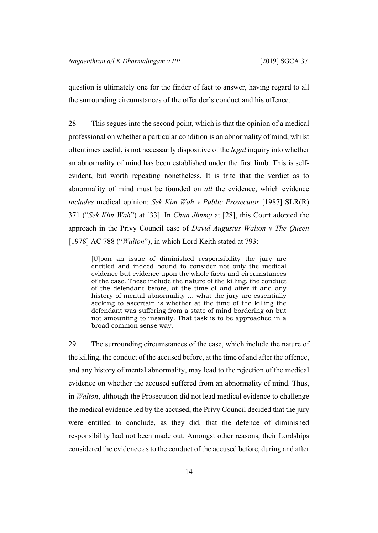question is ultimately one for the finder of fact to answer, having regard to all the surrounding circumstances of the offender's conduct and his offence.

28 This segues into the second point, which is that the opinion of a medical professional on whether a particular condition is an abnormality of mind, whilst oftentimes useful, is not necessarily dispositive of the *legal* inquiry into whether an abnormality of mind has been established under the first limb. This is selfevident, but worth repeating nonetheless. It is trite that the verdict as to abnormality of mind must be founded on *all* the evidence, which evidence *includes* medical opinion: *Sek Kim Wah v Public Prosecutor* [1987] SLR(R) 371 ("*Sek Kim Wah*") at [33]. In *Chua Jimmy* at [28], this Court adopted the approach in the Privy Council case of *David Augustus Walton v The Queen* [1978] AC 788 ("*Walton*"), in which Lord Keith stated at 793:

[U]pon an issue of diminished responsibility the jury are entitled and indeed bound to consider not only the medical evidence but evidence upon the whole facts and circumstances of the case. These include the nature of the killing, the conduct of the defendant before, at the time of and after it and any history of mental abnormality … what the jury are essentially seeking to ascertain is whether at the time of the killing the defendant was suffering from a state of mind bordering on but not amounting to insanity. That task is to be approached in a broad common sense way.

29 The surrounding circumstances of the case, which include the nature of the killing, the conduct of the accused before, at the time of and after the offence, and any history of mental abnormality, may lead to the rejection of the medical evidence on whether the accused suffered from an abnormality of mind. Thus, in *Walton*, although the Prosecution did not lead medical evidence to challenge the medical evidence led by the accused, the Privy Council decided that the jury were entitled to conclude, as they did, that the defence of diminished responsibility had not been made out. Amongst other reasons, their Lordships considered the evidence as to the conduct of the accused before, during and after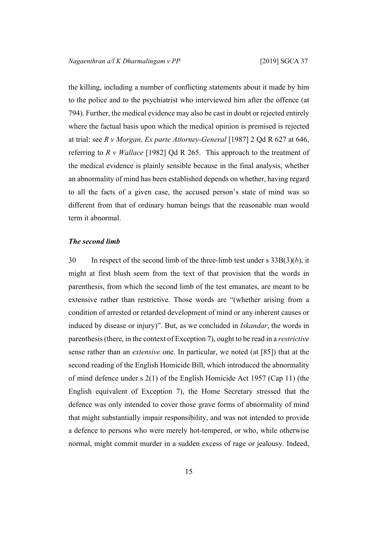the killing, including a number of conflicting statements about it made by him to the police and to the psychiatrist who interviewed him after the offence (at 794). Further, the medical evidence may also be cast in doubt or rejected entirely where the factual basis upon which the medical opinion is premised is rejected at trial: see *R v Morgan, Ex parte Attorney-General* [1987] 2 Qd R 627 at 646, referring to *R v Wallace* [1982] Qd R 265. This approach to the treatment of the medical evidence is plainly sensible because in the final analysis, whether an abnormality of mind has been established depends on whether, having regard to all the facts of a given case, the accused person's state of mind was so different from that of ordinary human beings that the reasonable man would term it abnormal.

#### *The second limb*

30 In respect of the second limb of the three-limb test under s 33B(3)(*b*), it might at first blush seem from the text of that provision that the words in parenthesis, from which the second limb of the test emanates, are meant to be extensive rather than restrictive. Those words are "(whether arising from a condition of arrested or retarded development of mind or any inherent causes or induced by disease or injury)". But, as we concluded in *Iskandar*, the words in parenthesis(there, in the context of Exception 7), ought to be read in a *restrictive* sense rather than an *extensive* one. In particular, we noted (at [85]) that at the second reading of the English Homicide Bill, which introduced the abnormality of mind defence under s 2(1) of the English Homicide Act 1957 (Cap 11) (the English equivalent of Exception 7), the Home Secretary stressed that the defence was only intended to cover those grave forms of abnormality of mind that might substantially impair responsibility, and was not intended to provide a defence to persons who were merely hot-tempered, or who, while otherwise normal, might commit murder in a sudden excess of rage or jealousy. Indeed,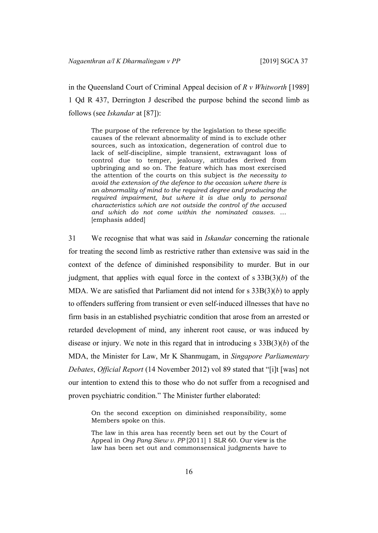in the Queensland Court of Criminal Appeal decision of *R v Whitworth* [1989] 1 Qd R 437, Derrington J described the purpose behind the second limb as follows (see *Iskandar* at [87]):

The purpose of the reference by the legislation to these specific causes of the relevant abnormality of mind is to exclude other sources, such as intoxication, degeneration of control due to lack of self-discipline, simple transient, extravagant loss of control due to temper, jealousy, attitudes derived from upbringing and so on. The feature which has most exercised the attention of the courts on this subject is *the necessity to avoid the extension of the defence to the occasion where there is an abnormality of mind to the required degree and producing the required impairment, but where it is due only to personal characteristics which are not outside the control of the accused and which do not come within the nominated causes*. … [emphasis added]

<span id="page-17-0"></span>31 We recognise that what was said in *Iskandar* concerning the rationale for treating the second limb as restrictive rather than extensive was said in the context of the defence of diminished responsibility to murder. But in our judgment, that applies with equal force in the context of s 33B(3)(*b*) of the MDA. We are satisfied that Parliament did not intend for s 33B(3)(*b*) to apply to offenders suffering from transient or even self-induced illnesses that have no firm basis in an established psychiatric condition that arose from an arrested or retarded development of mind, any inherent root cause, or was induced by disease or injury. We note in this regard that in introducing s 33B(3)(*b*) of the MDA, the Minister for Law, Mr K Shanmugam, in *Singapore Parliamentary Debates*, *Official Report* (14 November 2012) vol 89 stated that "[i]t [was] not our intention to extend this to those who do not suffer from a recognised and proven psychiatric condition." The Minister further elaborated:

On the second exception on diminished responsibility, some Members spoke on this.

The law in this area has recently been set out by the Court of Appeal in *Ong Pang Siew v. PP* [2011] 1 SLR 60. Our view is the law has been set out and commonsensical judgments have to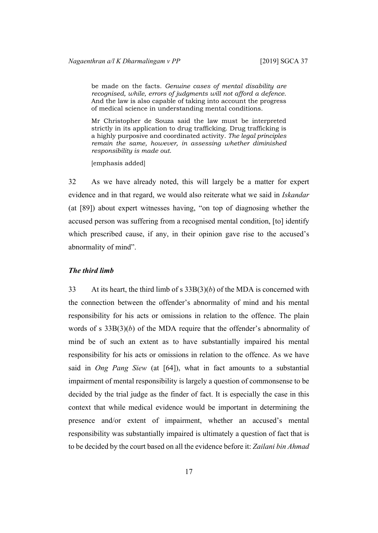be made on the facts. *Genuine cases of mental disability are recognised, while, errors of judgments will not afford a defence*. And the law is also capable of taking into account the progress of medical science in understanding mental conditions.

Mr Christopher de Souza said the law must be interpreted strictly in its application to drug trafficking. Drug trafficking is a highly purposive and coordinated activity. *The legal principles remain the same, however, in assessing whether diminished responsibility is made out*.

[emphasis added]

32 As we have already noted, this will largely be a matter for expert evidence and in that regard, we would also reiterate what we said in *Iskandar* (at [89]) about expert witnesses having, "on top of diagnosing whether the accused person was suffering from a recognised mental condition, [to] identify which prescribed cause, if any, in their opinion gave rise to the accused's abnormality of mind".

#### *The third limb*

33 At its heart, the third limb of s  $33B(3)(b)$  of the MDA is concerned with the connection between the offender's abnormality of mind and his mental responsibility for his acts or omissions in relation to the offence. The plain words of s 33B(3)(*b*) of the MDA require that the offender's abnormality of mind be of such an extent as to have substantially impaired his mental responsibility for his acts or omissions in relation to the offence. As we have said in *Ong Pang Siew* (at [64]), what in fact amounts to a substantial impairment of mental responsibility is largely a question of commonsense to be decided by the trial judge as the finder of fact. It is especially the case in this context that while medical evidence would be important in determining the presence and/or extent of impairment, whether an accused's mental responsibility was substantially impaired is ultimately a question of fact that is to be decided by the court based on all the evidence before it: *Zailani bin Ahmad*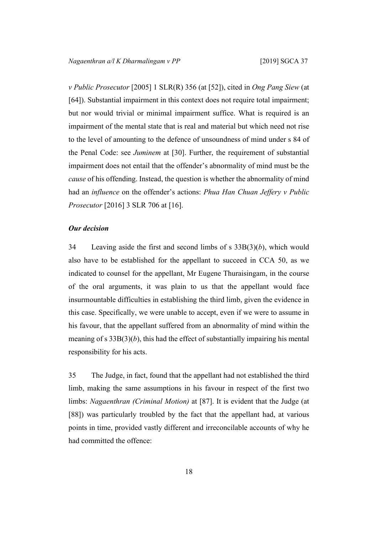*v Public Prosecutor* [2005] 1 SLR(R) 356 (at [52]), cited in *Ong Pang Siew* (at [64]). Substantial impairment in this context does not require total impairment; but nor would trivial or minimal impairment suffice. What is required is an impairment of the mental state that is real and material but which need not rise to the level of amounting to the defence of unsoundness of mind under s 84 of the Penal Code: see *Juminem* at [30]. Further, the requirement of substantial impairment does not entail that the offender's abnormality of mind must be the *cause* of his offending. Instead, the question is whether the abnormality of mind had an *influence* on the offender's actions: *Phua Han Chuan Jeffery v Public Prosecutor* [2016] 3 SLR 706 at [16].

#### *Our decision*

34 Leaving aside the first and second limbs of s 33B(3)(*b*), which would also have to be established for the appellant to succeed in CCA 50, as we indicated to counsel for the appellant, Mr Eugene Thuraisingam, in the course of the oral arguments, it was plain to us that the appellant would face insurmountable difficulties in establishing the third limb, given the evidence in this case. Specifically, we were unable to accept, even if we were to assume in his favour, that the appellant suffered from an abnormality of mind within the meaning of s 33B(3)(*b*), this had the effect of substantially impairing his mental responsibility for his acts.

35 The Judge, in fact, found that the appellant had not established the third limb, making the same assumptions in his favour in respect of the first two limbs: *Nagaenthran (Criminal Motion)* at [87]. It is evident that the Judge (at [88]) was particularly troubled by the fact that the appellant had, at various points in time, provided vastly different and irreconcilable accounts of why he had committed the offence: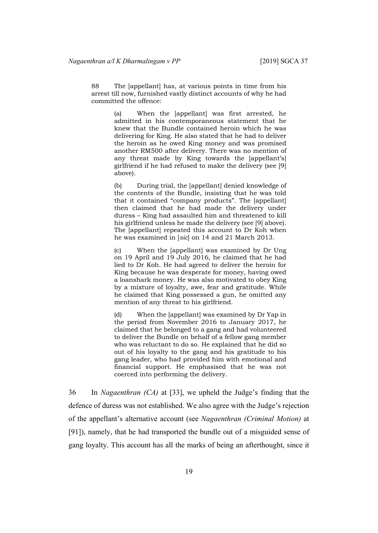88 The [appellant] has, at various points in time from his arrest till now, furnished vastly distinct accounts of why he had committed the offence:

> (a) When the [appellant] was first arrested, he admitted in his contemporaneous statement that he knew that the Bundle contained heroin which he was delivering for King. He also stated that he had to deliver the heroin as he owed King money and was promised another RM500 after delivery. There was no mention of any threat made by King towards the [appellant's] girlfriend if he had refused to make the delivery (see [9] above).

> (b) During trial, the [appellant] denied knowledge of the contents of the Bundle, insisting that he was told that it contained "company products". The [appellant] then claimed that he had made the delivery under duress – King had assaulted him and threatened to kill his girlfriend unless he made the delivery (see [9] above). The [appellant] repeated this account to Dr Koh when he was examined in [*sic*] on 14 and 21 March 2013.

> (c) When the [appellant] was examined by Dr Ung on 19 April and 19 July 2016, he claimed that he had lied to Dr Koh. He had agreed to deliver the heroin for King because he was desperate for money, having owed a loanshark money. He was also motivated to obey King by a mixture of loyalty, awe, fear and gratitude. While he claimed that King possessed a gun, he omitted any mention of any threat to his girlfriend.

> (d) When the [appellant] was examined by Dr Yap in the period from November 2016 to January 2017, he claimed that he belonged to a gang and had volunteered to deliver the Bundle on behalf of a fellow gang member who was reluctant to do so. He explained that he did so out of his loyalty to the gang and his gratitude to his gang leader, who had provided him with emotional and financial support. He emphasised that he was not coerced into performing the delivery.

36 In *Nagaenthran (CA)* at [33], we upheld the Judge's finding that the defence of duress was not established. We also agree with the Judge's rejection of the appellant's alternative account (see *Nagaenthran (Criminal Motion)* at [91]), namely, that he had transported the bundle out of a misguided sense of gang loyalty. This account has all the marks of being an afterthought, since it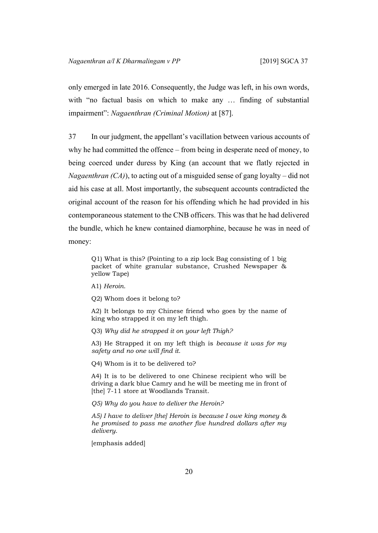only emerged in late 2016. Consequently, the Judge was left, in his own words, with "no factual basis on which to make any ... finding of substantial impairment": *Nagaenthran (Criminal Motion)* at [87].

<span id="page-21-0"></span>37 In our judgment, the appellant's vacillation between various accounts of why he had committed the offence – from being in desperate need of money, to being coerced under duress by King (an account that we flatly rejected in *Nagaenthran (CA)*), to acting out of a misguided sense of gang loyalty – did not aid his case at all. Most importantly, the subsequent accounts contradicted the original account of the reason for his offending which he had provided in his contemporaneous statement to the CNB officers. This was that he had delivered the bundle, which he knew contained diamorphine, because he was in need of money:

Q1) What is this? (Pointing to a zip lock Bag consisting of 1 big packet of white granular substance, Crushed Newspaper & yellow Tape)

A1) *Heroin*.

Q2) Whom does it belong to?

A2) It belongs to my Chinese friend who goes by the name of king who strapped it on my left thigh.

Q3) *Why did he strapped it on your left Thigh?*

A3) He Strapped it on my left thigh is *because it was for my safety and no one will find it*.

Q4) Whom is it to be delivered to?

A4) It is to be delivered to one Chinese recipient who will be driving a dark blue Camry and he will be meeting me in front of [the] 7-11 store at Woodlands Transit.

*Q5) Why do you have to deliver the Heroin?*

*A5) I have to deliver [the] Heroin is because I owe king money & he promised to pass me another five hundred dollars after my delivery*.

[emphasis added]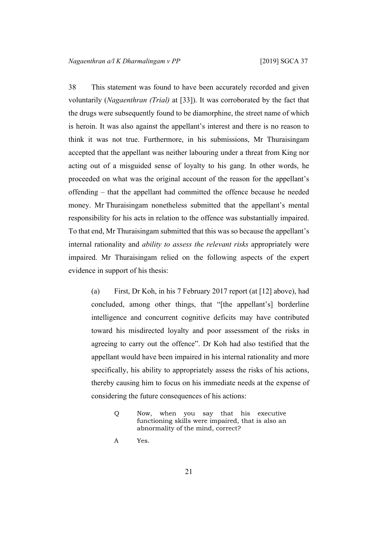38 This statement was found to have been accurately recorded and given voluntarily (*Nagaenthran (Trial)* at [33]). It was corroborated by the fact that the drugs were subsequently found to be diamorphine, the street name of which is heroin. It was also against the appellant's interest and there is no reason to think it was not true. Furthermore, in his submissions, Mr Thuraisingam accepted that the appellant was neither labouring under a threat from King nor acting out of a misguided sense of loyalty to his gang. In other words, he proceeded on what was the original account of the reason for the appellant's offending – that the appellant had committed the offence because he needed money. Mr Thuraisingam nonetheless submitted that the appellant's mental responsibility for his acts in relation to the offence was substantially impaired. To that end, Mr Thuraisingam submitted that this was so because the appellant's internal rationality and *ability to assess the relevant risks* appropriately were impaired. Mr Thuraisingam relied on the following aspects of the expert evidence in support of his thesis:

(a) First, Dr Koh, in his 7 February 2017 report (at [[12\]](#page-8-0) above), had concluded, among other things, that "[the appellant's] borderline intelligence and concurrent cognitive deficits may have contributed toward his misdirected loyalty and poor assessment of the risks in agreeing to carry out the offence". Dr Koh had also testified that the appellant would have been impaired in his internal rationality and more specifically, his ability to appropriately assess the risks of his actions, thereby causing him to focus on his immediate needs at the expense of considering the future consequences of his actions:

Q Now, when you say that his executive functioning skills were impaired, that is also an abnormality of the mind, correct?

A Yes.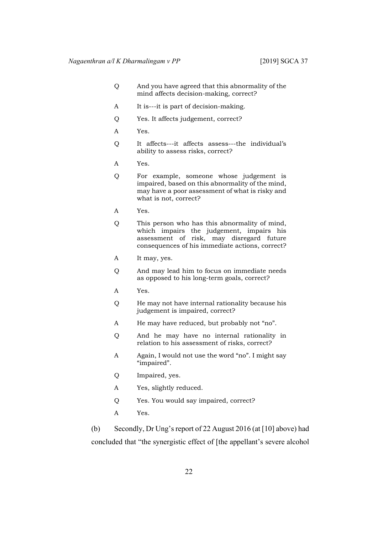- Q And you have agreed that this abnormality of the mind affects decision-making, correct?
- A It is---it is part of decision-making.
- Q Yes. It affects judgement, correct?
- A Yes.
- Q It affects---it affects assess---the individual's ability to assess risks, correct?
- A Yes.
- Q For example, someone whose judgement is impaired, based on this abnormality of the mind, may have a poor assessment of what is risky and what is not, correct?
- A Yes.
- Q This person who has this abnormality of mind, which impairs the judgement, impairs his assessment of risk, may disregard future consequences of his immediate actions, correct?
- A It may, yes.
- Q And may lead him to focus on immediate needs as opposed to his long-term goals, correct?
- A Yes.
- Q He may not have internal rationality because his judgement is impaired, correct?
- A He may have reduced, but probably not "no".
- Q And he may have no internal rationality in relation to his assessment of risks, correct?
- A Again, I would not use the word "no". I might say "impaired".
- Q Impaired, yes.
- A Yes, slightly reduced.
- Q Yes. You would say impaired, correct?
- A Yes.

(b) Secondly, Dr Ung's report of 22 August 2016 (at [[10\]](#page-7-0) above) had concluded that "the synergistic effect of [the appellant's severe alcohol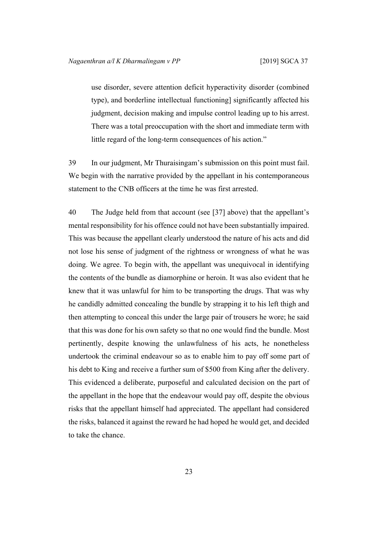use disorder, severe attention deficit hyperactivity disorder (combined type), and borderline intellectual functioning] significantly affected his judgment, decision making and impulse control leading up to his arrest. There was a total preoccupation with the short and immediate term with little regard of the long-term consequences of his action."

39 In our judgment, Mr Thuraisingam's submission on this point must fail. We begin with the narrative provided by the appellant in his contemporaneous statement to the CNB officers at the time he was first arrested.

40 The Judge held from that account (see [[37\]](#page-21-0) above) that the appellant's mental responsibility for his offence could not have been substantially impaired. This was because the appellant clearly understood the nature of his acts and did not lose his sense of judgment of the rightness or wrongness of what he was doing. We agree. To begin with, the appellant was unequivocal in identifying the contents of the bundle as diamorphine or heroin. It was also evident that he knew that it was unlawful for him to be transporting the drugs. That was why he candidly admitted concealing the bundle by strapping it to his left thigh and then attempting to conceal this under the large pair of trousers he wore; he said that this was done for his own safety so that no one would find the bundle. Most pertinently, despite knowing the unlawfulness of his acts, he nonetheless undertook the criminal endeavour so as to enable him to pay off some part of his debt to King and receive a further sum of \$500 from King after the delivery. This evidenced a deliberate, purposeful and calculated decision on the part of the appellant in the hope that the endeavour would pay off, despite the obvious risks that the appellant himself had appreciated. The appellant had considered the risks, balanced it against the reward he had hoped he would get, and decided to take the chance.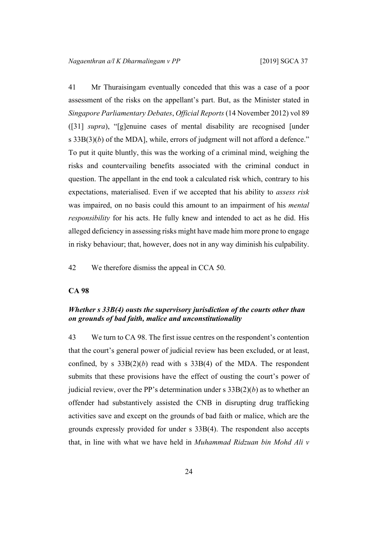41 Mr Thuraisingam eventually conceded that this was a case of a poor assessment of the risks on the appellant's part. But, as the Minister stated in *Singapore Parliamentary Debates*, *Official Reports* (14 November 2012) vol 89 ([[31\]](#page-17-0) *supra*), "[g]enuine cases of mental disability are recognised [under s  $33B(3)(b)$  of the MDA], while, errors of judgment will not afford a defence." To put it quite bluntly, this was the working of a criminal mind, weighing the risks and countervailing benefits associated with the criminal conduct in question. The appellant in the end took a calculated risk which, contrary to his expectations, materialised. Even if we accepted that his ability to *assess risk* was impaired, on no basis could this amount to an impairment of his *mental responsibility* for his acts. He fully knew and intended to act as he did. His alleged deficiency in assessing risks might have made him more prone to engage in risky behaviour; that, however, does not in any way diminish his culpability.

42 We therefore dismiss the appeal in CCA 50.

#### **CA 98**

# *Whether s 33B(4) ousts the supervisory jurisdiction of the courts other than on grounds of bad faith, malice and unconstitutionality*

43 We turn to CA 98. The first issue centres on the respondent's contention that the court's general power of judicial review has been excluded, or at least, confined, by s  $33B(2)(b)$  read with s  $33B(4)$  of the MDA. The respondent submits that these provisions have the effect of ousting the court's power of judicial review, over the PP's determination under s 33B(2)(*b*) as to whether an offender had substantively assisted the CNB in disrupting drug trafficking activities save and except on the grounds of bad faith or malice, which are the grounds expressly provided for under s 33B(4). The respondent also accepts that, in line with what we have held in *Muhammad Ridzuan bin Mohd Ali v*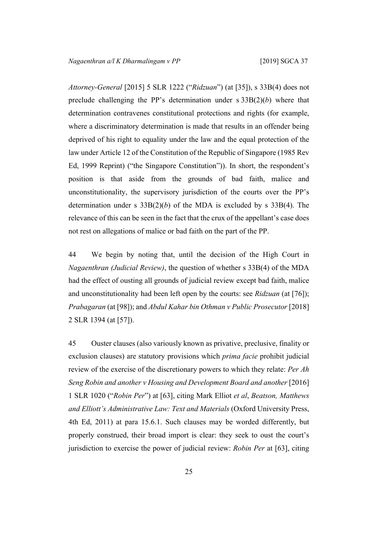*Attorney-General* [2015] 5 SLR 1222 ("*Ridzuan*") (at [35]), s 33B(4) does not preclude challenging the PP's determination under s 33B(2)(*b*) where that determination contravenes constitutional protections and rights (for example, where a discriminatory determination is made that results in an offender being deprived of his right to equality under the law and the equal protection of the law under Article 12 of the Constitution of the Republic of Singapore (1985 Rev Ed, 1999 Reprint) ("the Singapore Constitution")). In short, the respondent's position is that aside from the grounds of bad faith, malice and unconstitutionality, the supervisory jurisdiction of the courts over the PP's determination under s 33B(2)(*b*) of the MDA is excluded by s 33B(4). The relevance of this can be seen in the fact that the crux of the appellant's case does not rest on allegations of malice or bad faith on the part of the PP.

44 We begin by noting that, until the decision of the High Court in *Nagaenthran (Judicial Review)*, the question of whether s 33B(4) of the MDA had the effect of ousting all grounds of judicial review except bad faith, malice and unconstitutionality had been left open by the courts: see *Ridzuan* (at [76]); *Prabagaran* (at [98]); and *Abdul Kahar bin Othman v Public Prosecutor* [2018] 2 SLR 1394 (at [57]).

45 Ouster clauses (also variously known as privative, preclusive, finality or exclusion clauses) are statutory provisions which *prima facie* prohibit judicial review of the exercise of the discretionary powers to which they relate: *Per Ah Seng Robin and another v Housing and Development Board and another* [2016] 1 SLR 1020 ("*Robin Per*") at [63], citing Mark Elliot *et al*, *Beatson, Matthews and Elliott's Administrative Law: Text and Materials* (Oxford University Press, 4th Ed, 2011) at para 15.6.1. Such clauses may be worded differently, but properly construed, their broad import is clear: they seek to oust the court's jurisdiction to exercise the power of judicial review: *Robin Per* at [63], citing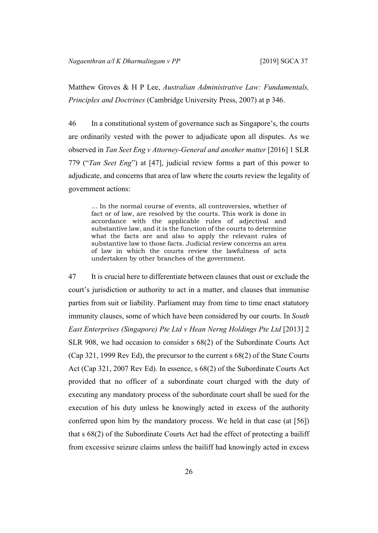Matthew Groves & H P Lee, *Australian Administrative Law: Fundamentals, Principles and Doctrines* (Cambridge University Press, 2007) at p 346.

46 In a constitutional system of governance such as Singapore's, the courts are ordinarily vested with the power to adjudicate upon all disputes. As we observed in *Tan Seet Eng v Attorney-General and another matter* [2016] 1 SLR 779 ("*Tan Seet Eng*") at [47], judicial review forms a part of this power to adjudicate, and concerns that area of law where the courts review the legality of government actions:

… In the normal course of events, all controversies, whether of fact or of law, are resolved by the courts. This work is done in accordance with the applicable rules of adjectival and substantive law, and it is the function of the courts to determine what the facts are and also to apply the relevant rules of substantive law to those facts. Judicial review concerns an area of law in which the courts review the lawfulness of acts undertaken by other branches of the government.

<span id="page-27-0"></span>47 It is crucial here to differentiate between clauses that oust or exclude the court's jurisdiction or authority to act in a matter, and clauses that immunise parties from suit or liability. Parliament may from time to time enact statutory immunity clauses, some of which have been considered by our courts. In *South East Enterprises (Singapore) Pte Ltd v Hean Nerng Holdings Pte Ltd* [2013] 2 SLR 908, we had occasion to consider s 68(2) of the Subordinate Courts Act (Cap 321, 1999 Rev Ed), the precursor to the current s 68(2) of the State Courts Act (Cap 321, 2007 Rev Ed). In essence, s 68(2) of the Subordinate Courts Act provided that no officer of a subordinate court charged with the duty of executing any mandatory process of the subordinate court shall be sued for the execution of his duty unless he knowingly acted in excess of the authority conferred upon him by the mandatory process. We held in that case (at [56]) that s 68(2) of the Subordinate Courts Act had the effect of protecting a bailiff from excessive seizure claims unless the bailiff had knowingly acted in excess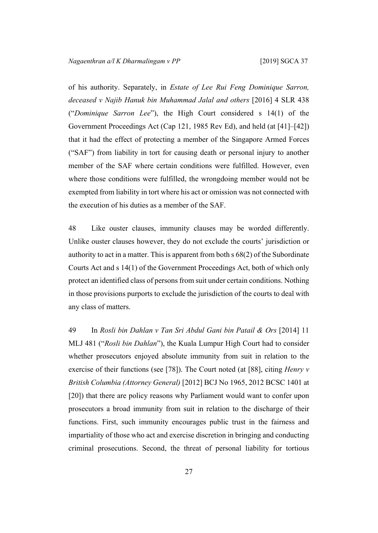of his authority. Separately, in *Estate of Lee Rui Feng Dominique Sarron, deceased v Najib Hanuk bin Muhammad Jalal and others* [2016] 4 SLR 438 ("*Dominique Sarron Lee*"), the High Court considered s 14(1) of the Government Proceedings Act (Cap 121, 1985 Rev Ed), and held (at [41]–[42]) that it had the effect of protecting a member of the Singapore Armed Forces ("SAF") from liability in tort for causing death or personal injury to another member of the SAF where certain conditions were fulfilled. However, even where those conditions were fulfilled, the wrongdoing member would not be exempted from liability in tort where his act or omission was not connected with the execution of his duties as a member of the SAF.

48 Like ouster clauses, immunity clauses may be worded differently. Unlike ouster clauses however, they do not exclude the courts' jurisdiction or authority to act in a matter. This is apparent from both s 68(2) of the Subordinate Courts Act and s 14(1) of the Government Proceedings Act, both of which only protect an identified class of persons from suit under certain conditions. Nothing in those provisions purports to exclude the jurisdiction of the courts to deal with any class of matters.

<span id="page-28-0"></span>49 In *Rosli bin Dahlan v Tan Sri Abdul Gani bin Patail & Ors* [2014] 11 MLJ 481 ("*Rosli bin Dahlan*"), the Kuala Lumpur High Court had to consider whether prosecutors enjoyed absolute immunity from suit in relation to the exercise of their functions (see [78]). The Court noted (at [88], citing *Henry v British Columbia (Attorney General)* [2012] BCJ No 1965, 2012 BCSC 1401 at [20]) that there are policy reasons why Parliament would want to confer upon prosecutors a broad immunity from suit in relation to the discharge of their functions. First, such immunity encourages public trust in the fairness and impartiality of those who act and exercise discretion in bringing and conducting criminal prosecutions. Second, the threat of personal liability for tortious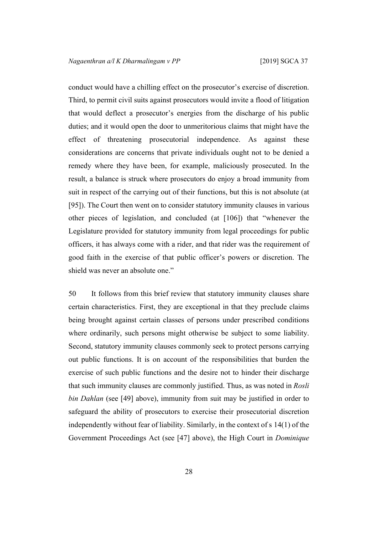conduct would have a chilling effect on the prosecutor's exercise of discretion. Third, to permit civil suits against prosecutors would invite a flood of litigation that would deflect a prosecutor's energies from the discharge of his public duties; and it would open the door to unmeritorious claims that might have the effect of threatening prosecutorial independence. As against these considerations are concerns that private individuals ought not to be denied a remedy where they have been, for example, maliciously prosecuted. In the result, a balance is struck where prosecutors do enjoy a broad immunity from suit in respect of the carrying out of their functions, but this is not absolute (at [95]). The Court then went on to consider statutory immunity clauses in various other pieces of legislation, and concluded (at [106]) that "whenever the Legislature provided for statutory immunity from legal proceedings for public officers, it has always come with a rider, and that rider was the requirement of good faith in the exercise of that public officer's powers or discretion. The shield was never an absolute one."

50 It follows from this brief review that statutory immunity clauses share certain characteristics. First, they are exceptional in that they preclude claims being brought against certain classes of persons under prescribed conditions where ordinarily, such persons might otherwise be subject to some liability. Second, statutory immunity clauses commonly seek to protect persons carrying out public functions. It is on account of the responsibilities that burden the exercise of such public functions and the desire not to hinder their discharge that such immunity clauses are commonly justified. Thus, as was noted in *Rosli bin Dahlan* (see [\[49](#page-28-0)] above), immunity from suit may be justified in order to safeguard the ability of prosecutors to exercise their prosecutorial discretion independently without fear of liability. Similarly, in the context of s 14(1) of the Government Proceedings Act (see [\[47](#page-27-0)] above), the High Court in *Dominique*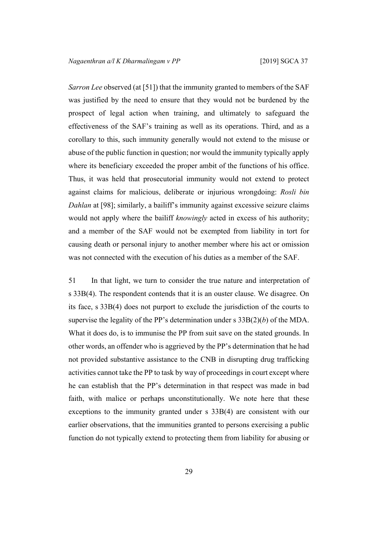*Sarron Lee* observed (at [51]) that the immunity granted to members of the SAF was justified by the need to ensure that they would not be burdened by the prospect of legal action when training, and ultimately to safeguard the effectiveness of the SAF's training as well as its operations. Third, and as a corollary to this, such immunity generally would not extend to the misuse or abuse of the public function in question; nor would the immunity typically apply where its beneficiary exceeded the proper ambit of the functions of his office. Thus, it was held that prosecutorial immunity would not extend to protect against claims for malicious, deliberate or injurious wrongdoing: *Rosli bin Dahlan* at [98]; similarly, a bailiff's immunity against excessive seizure claims would not apply where the bailiff *knowingly* acted in excess of his authority; and a member of the SAF would not be exempted from liability in tort for causing death or personal injury to another member where his act or omission was not connected with the execution of his duties as a member of the SAF.

<span id="page-30-0"></span>51 In that light, we turn to consider the true nature and interpretation of s 33B(4). The respondent contends that it is an ouster clause. We disagree. On its face, s 33B(4) does not purport to exclude the jurisdiction of the courts to supervise the legality of the PP's determination under s 33B(2)(*b*) of the MDA. What it does do, is to immunise the PP from suit save on the stated grounds. In other words, an offender who is aggrieved by the PP's determination that he had not provided substantive assistance to the CNB in disrupting drug trafficking activities cannot take the PP to task by way of proceedings in court except where he can establish that the PP's determination in that respect was made in bad faith, with malice or perhaps unconstitutionally. We note here that these exceptions to the immunity granted under s 33B(4) are consistent with our earlier observations, that the immunities granted to persons exercising a public function do not typically extend to protecting them from liability for abusing or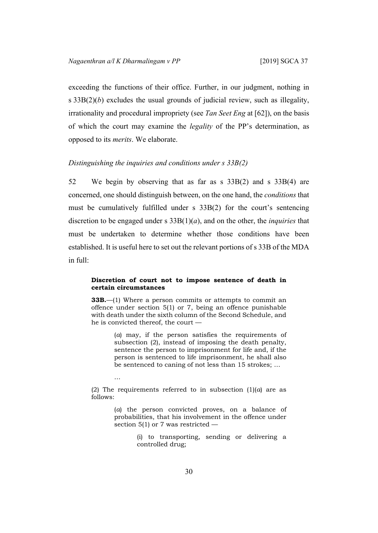…

exceeding the functions of their office. Further, in our judgment, nothing in s 33B(2)(*b*) excludes the usual grounds of judicial review, such as illegality, irrationality and procedural impropriety (see *Tan Seet Eng* at [62]), on the basis of which the court may examine the *legality* of the PP's determination, as opposed to its *merits*. We elaborate.

#### *Distinguishing the inquiries and conditions under s 33B(2)*

52 We begin by observing that as far as s 33B(2) and s 33B(4) are concerned, one should distinguish between, on the one hand, the *conditions* that must be cumulatively fulfilled under s 33B(2) for the court's sentencing discretion to be engaged under s 33B(1)(*a*), and on the other, the *inquiries* that must be undertaken to determine whether those conditions have been established. It is useful here to set out the relevant portions of s 33B of the MDA in full:

#### **Discretion of court not to impose sentence of death in certain circumstances**

**33B.**—(1) Where a person commits or attempts to commit an offence under section 5(1) or 7, being an offence punishable with death under the sixth column of the Second Schedule, and he is convicted thereof, the court —

> (*a*) may, if the person satisfies the requirements of subsection (2), instead of imposing the death penalty, sentence the person to imprisonment for life and, if the person is sentenced to life imprisonment, he shall also be sentenced to caning of not less than 15 strokes; …

(2) The requirements referred to in subsection  $(1)(a)$  are as follows:

> (*a*) the person convicted proves, on a balance of probabilities, that his involvement in the offence under section 5(1) or 7 was restricted —

> > (i) to transporting, sending or delivering a controlled drug;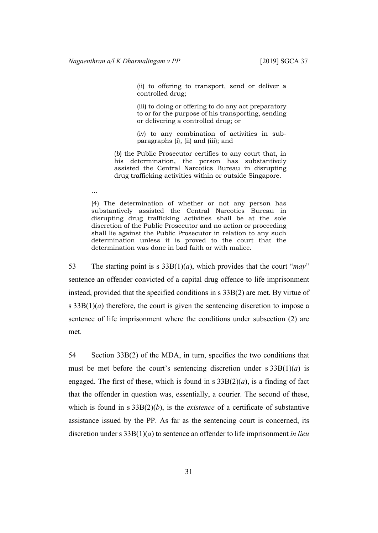…

(ii) to offering to transport, send or deliver a controlled drug;

(iii) to doing or offering to do any act preparatory to or for the purpose of his transporting, sending or delivering a controlled drug; or

(iv) to any combination of activities in subparagraphs (i), (ii) and (iii); and

(*b*) the Public Prosecutor certifies to any court that, in his determination, the person has substantively assisted the Central Narcotics Bureau in disrupting drug trafficking activities within or outside Singapore.

(4) The determination of whether or not any person has substantively assisted the Central Narcotics Bureau in disrupting drug trafficking activities shall be at the sole discretion of the Public Prosecutor and no action or proceeding shall lie against the Public Prosecutor in relation to any such determination unless it is proved to the court that the determination was done in bad faith or with malice.

53 The starting point is s 33B(1)(*a*), which provides that the court "*may*" sentence an offender convicted of a capital drug offence to life imprisonment instead, provided that the specified conditions in s 33B(2) are met. By virtue of s  $33B(1)(a)$  therefore, the court is given the sentencing discretion to impose a sentence of life imprisonment where the conditions under subsection (2) are met.

54 Section 33B(2) of the MDA, in turn, specifies the two conditions that must be met before the court's sentencing discretion under  $s \, 33B(1)(a)$  is engaged. The first of these, which is found in s  $33B(2)(a)$ , is a finding of fact that the offender in question was, essentially, a courier. The second of these, which is found in s 33B(2)(*b*), is the *existence* of a certificate of substantive assistance issued by the PP. As far as the sentencing court is concerned, its discretion under s 33B(1)(*a*) to sentence an offender to life imprisonment *in lieu*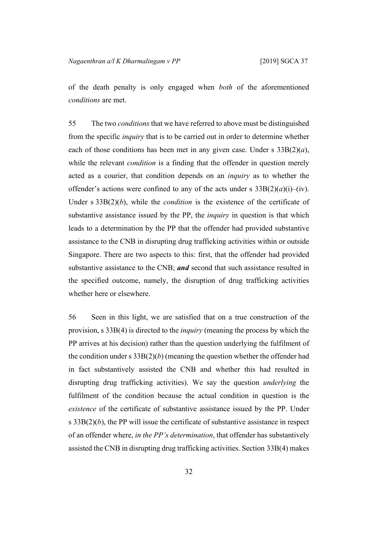of the death penalty is only engaged when *both* of the aforementioned *conditions* are met.

55 The two *conditions* that we have referred to above must be distinguished from the specific *inquiry* that is to be carried out in order to determine whether each of those conditions has been met in any given case. Under s 33B(2)(*a*), while the relevant *condition* is a finding that the offender in question merely acted as a courier, that condition depends on an *inquiry* as to whether the offender's actions were confined to any of the acts under s  $33B(2)(a)(i)$ –(iv). Under s 33B(2)(*b*), while the *condition* is the existence of the certificate of substantive assistance issued by the PP, the *inquiry* in question is that which leads to a determination by the PP that the offender had provided substantive assistance to the CNB in disrupting drug trafficking activities within or outside Singapore. There are two aspects to this: first, that the offender had provided substantive assistance to the CNB; *and* second that such assistance resulted in the specified outcome, namely, the disruption of drug trafficking activities whether here or elsewhere.

<span id="page-33-0"></span>56 Seen in this light, we are satisfied that on a true construction of the provision, s 33B(4) is directed to the *inquiry* (meaning the process by which the PP arrives at his decision) rather than the question underlying the fulfilment of the condition under s  $33B(2)(b)$  (meaning the question whether the offender had in fact substantively assisted the CNB and whether this had resulted in disrupting drug trafficking activities). We say the question *underlying* the fulfilment of the condition because the actual condition in question is the *existence* of the certificate of substantive assistance issued by the PP. Under s  $33B(2)(b)$ , the PP will issue the certificate of substantive assistance in respect of an offender where, *in the PP's determination*, that offender has substantively assisted the CNB in disrupting drug trafficking activities. Section 33B(4) makes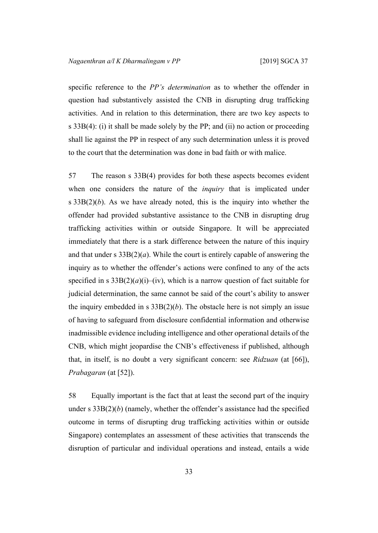specific reference to the *PP's determination* as to whether the offender in question had substantively assisted the CNB in disrupting drug trafficking activities. And in relation to this determination, there are two key aspects to s 33B(4): (i) it shall be made solely by the PP; and (ii) no action or proceeding shall lie against the PP in respect of any such determination unless it is proved to the court that the determination was done in bad faith or with malice.

57 The reason s 33B(4) provides for both these aspects becomes evident when one considers the nature of the *inquiry* that is implicated under s 33B(2)(*b*). As we have already noted, this is the inquiry into whether the offender had provided substantive assistance to the CNB in disrupting drug trafficking activities within or outside Singapore. It will be appreciated immediately that there is a stark difference between the nature of this inquiry and that under s  $33B(2)(a)$ . While the court is entirely capable of answering the inquiry as to whether the offender's actions were confined to any of the acts specified in s  $33B(2)(a)(i)$ –(iv), which is a narrow question of fact suitable for judicial determination, the same cannot be said of the court's ability to answer the inquiry embedded in s  $33B(2)(b)$ . The obstacle here is not simply an issue of having to safeguard from disclosure confidential information and otherwise inadmissible evidence including intelligence and other operational details of the CNB, which might jeopardise the CNB's effectiveness if published, although that, in itself, is no doubt a very significant concern: see *Ridzuan* (at [66]), *Prabagaran* (at [52]).

<span id="page-34-0"></span>58 Equally important is the fact that at least the second part of the inquiry under s  $33B(2)(b)$  (namely, whether the offender's assistance had the specified outcome in terms of disrupting drug trafficking activities within or outside Singapore) contemplates an assessment of these activities that transcends the disruption of particular and individual operations and instead, entails a wide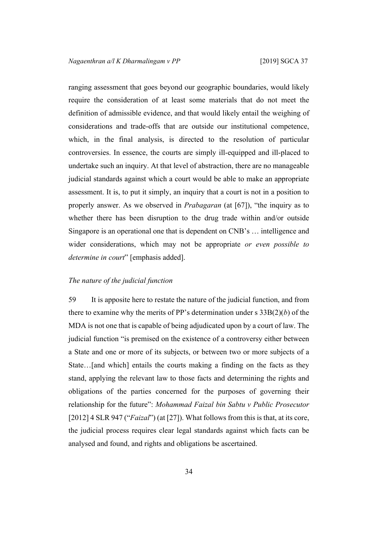ranging assessment that goes beyond our geographic boundaries, would likely require the consideration of at least some materials that do not meet the definition of admissible evidence, and that would likely entail the weighing of considerations and trade-offs that are outside our institutional competence, which, in the final analysis, is directed to the resolution of particular controversies. In essence, the courts are simply ill-equipped and ill-placed to undertake such an inquiry. At that level of abstraction, there are no manageable judicial standards against which a court would be able to make an appropriate assessment. It is, to put it simply, an inquiry that a court is not in a position to properly answer. As we observed in *Prabagaran* (at [67]), "the inquiry as to whether there has been disruption to the drug trade within and/or outside Singapore is an operational one that is dependent on CNB's … intelligence and wider considerations, which may not be appropriate *or even possible to determine in court*" [emphasis added].

#### <span id="page-35-0"></span>*The nature of the judicial function*

59 It is apposite here to restate the nature of the judicial function, and from there to examine why the merits of PP's determination under s 33B(2)(*b*) of the MDA is not one that is capable of being adjudicated upon by a court of law. The judicial function "is premised on the existence of a controversy either between a State and one or more of its subjects, or between two or more subjects of a State…[and which] entails the courts making a finding on the facts as they stand, applying the relevant law to those facts and determining the rights and obligations of the parties concerned for the purposes of governing their relationship for the future": *Mohammad Faizal bin Sabtu v Public Prosecutor* [2012] 4 SLR 947 ("*Faizal*") (at [27]). What follows from this is that, at its core, the judicial process requires clear legal standards against which facts can be analysed and found, and rights and obligations be ascertained.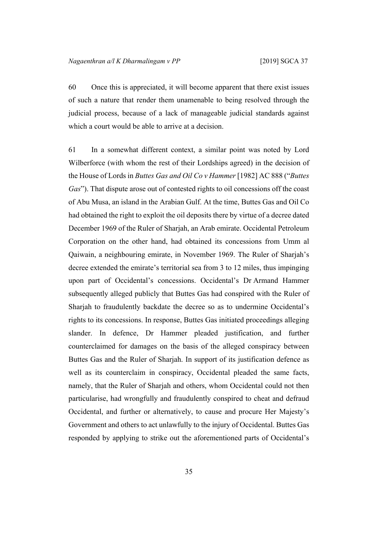60 Once this is appreciated, it will become apparent that there exist issues of such a nature that render them unamenable to being resolved through the judicial process, because of a lack of manageable judicial standards against which a court would be able to arrive at a decision.

61 In a somewhat different context, a similar point was noted by Lord Wilberforce (with whom the rest of their Lordships agreed) in the decision of the House of Lords in *Buttes Gas and Oil Co v Hammer* [1982] AC 888 ("*Buttes Gas*"). That dispute arose out of contested rights to oil concessions off the coast of Abu Musa, an island in the Arabian Gulf. At the time, Buttes Gas and Oil Co had obtained the right to exploit the oil deposits there by virtue of a decree dated December 1969 of the Ruler of Sharjah, an Arab emirate. Occidental Petroleum Corporation on the other hand, had obtained its concessions from Umm al Qaiwain, a neighbouring emirate, in November 1969. The Ruler of Sharjah's decree extended the emirate's territorial sea from 3 to 12 miles, thus impinging upon part of Occidental's concessions. Occidental's Dr Armand Hammer subsequently alleged publicly that Buttes Gas had conspired with the Ruler of Sharjah to fraudulently backdate the decree so as to undermine Occidental's rights to its concessions. In response, Buttes Gas initiated proceedings alleging slander. In defence, Dr Hammer pleaded justification, and further counterclaimed for damages on the basis of the alleged conspiracy between Buttes Gas and the Ruler of Sharjah. In support of its justification defence as well as its counterclaim in conspiracy, Occidental pleaded the same facts, namely, that the Ruler of Sharjah and others, whom Occidental could not then particularise, had wrongfully and fraudulently conspired to cheat and defraud Occidental, and further or alternatively, to cause and procure Her Majesty's Government and others to act unlawfully to the injury of Occidental. Buttes Gas responded by applying to strike out the aforementioned parts of Occidental's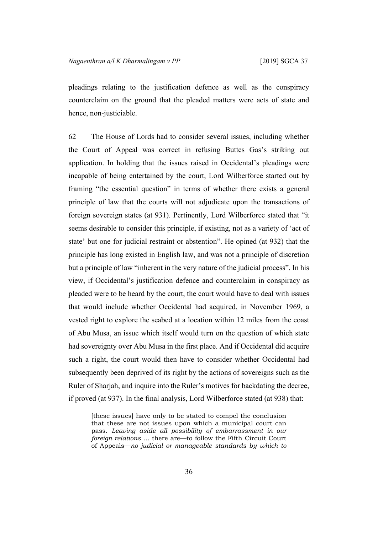pleadings relating to the justification defence as well as the conspiracy counterclaim on the ground that the pleaded matters were acts of state and hence, non-justiciable.

62 The House of Lords had to consider several issues, including whether the Court of Appeal was correct in refusing Buttes Gas's striking out application. In holding that the issues raised in Occidental's pleadings were incapable of being entertained by the court, Lord Wilberforce started out by framing "the essential question" in terms of whether there exists a general principle of law that the courts will not adjudicate upon the transactions of foreign sovereign states (at 931). Pertinently, Lord Wilberforce stated that "it seems desirable to consider this principle, if existing, not as a variety of 'act of state' but one for judicial restraint or abstention". He opined (at 932) that the principle has long existed in English law, and was not a principle of discretion but a principle of law "inherent in the very nature of the judicial process". In his view, if Occidental's justification defence and counterclaim in conspiracy as pleaded were to be heard by the court, the court would have to deal with issues that would include whether Occidental had acquired, in November 1969, a vested right to explore the seabed at a location within 12 miles from the coast of Abu Musa, an issue which itself would turn on the question of which state had sovereignty over Abu Musa in the first place. And if Occidental did acquire such a right, the court would then have to consider whether Occidental had subsequently been deprived of its right by the actions of sovereigns such as the Ruler of Sharjah, and inquire into the Ruler's motives for backdating the decree, if proved (at 937). In the final analysis, Lord Wilberforce stated (at 938) that:

[these issues] have only to be stated to compel the conclusion that these are not issues upon which a municipal court can pass. *Leaving aside all possibility of embarrassment in our foreign relations …* there are—to follow the Fifth Circuit Court of Appeals—*no judicial or manageable standards by which to*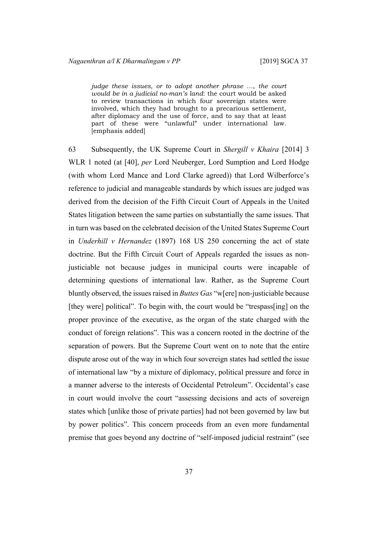*judge these issues, or to adopt another phrase …, the court would be in a judicial no-man's land*: the court would be asked to review transactions in which four sovereign states were involved, which they had brought to a precarious settlement, after diplomacy and the use of force, and to say that at least part of these were "unlawful" under international law. [emphasis added]

63 Subsequently, the UK Supreme Court in *Shergill v Khaira* [2014] 3 WLR 1 noted (at [40], *per* Lord Neuberger, Lord Sumption and Lord Hodge (with whom Lord Mance and Lord Clarke agreed)) that Lord Wilberforce's reference to judicial and manageable standards by which issues are judged was derived from the decision of the Fifth Circuit Court of Appeals in the United States litigation between the same parties on substantially the same issues. That in turn was based on the celebrated decision of the United States Supreme Court in *Underhill v Hernandez* (1897) 168 US 250 concerning the act of state doctrine. But the Fifth Circuit Court of Appeals regarded the issues as nonjusticiable not because judges in municipal courts were incapable of determining questions of international law. Rather, as the Supreme Court bluntly observed, the issuesraised in *Buttes Gas* "w[ere] non-justiciable because [they were] political". To begin with, the court would be "trespass[ing] on the proper province of the executive, as the organ of the state charged with the conduct of foreign relations". This was a concern rooted in the doctrine of the separation of powers. But the Supreme Court went on to note that the entire dispute arose out of the way in which four sovereign states had settled the issue of international law "by a mixture of diplomacy, political pressure and force in a manner adverse to the interests of Occidental Petroleum". Occidental's case in court would involve the court "assessing decisions and acts of sovereign states which [unlike those of private parties] had not been governed by law but by power politics". This concern proceeds from an even more fundamental premise that goes beyond any doctrine of "self-imposed judicial restraint" (see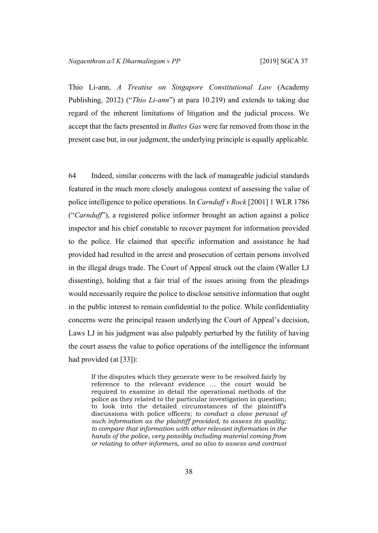Thio Li-ann, *A Treatise on Singapore Constitutional Law* (Academy Publishing, 2012) ("*Thio Li-ann*") at para 10.219) and extends to taking due regard of the inherent limitations of litigation and the judicial process. We accept that the facts presented in *Buttes Gas* were far removed from those in the present case but, in our judgment, the underlying principle is equally applicable.

64 Indeed, similar concerns with the lack of manageable judicial standards featured in the much more closely analogous context of assessing the value of police intelligence to police operations. In *Carnduff v Rock* [2001] 1 WLR 1786 ("*Carnduff*"), a registered police informer brought an action against a police inspector and his chief constable to recover payment for information provided to the police. He claimed that specific information and assistance he had provided had resulted in the arrest and prosecution of certain persons involved in the illegal drugs trade. The Court of Appeal struck out the claim (Waller LJ dissenting), holding that a fair trial of the issues arising from the pleadings would necessarily require the police to disclose sensitive information that ought in the public interest to remain confidential to the police. While confidentiality concerns were the principal reason underlying the Court of Appeal's decision, Laws LJ in his judgment was also palpably perturbed by the futility of having the court assess the value to police operations of the intelligence the informant had provided (at [33]):

If the disputes which they generate were to be resolved fairly by reference to the relevant evidence … the court would be required to examine in detail the operational methods of the police as they related to the particular investigation in question; to look into the detailed circumstances of the plaintiff's discussions with police officers; *to conduct a close perusal of such information as the plaintiff provided, to assess its quality; to compare that information with other relevant information in the hands of the police, very possibly including material coming from or relating to other informers, and so also to assess and contrast*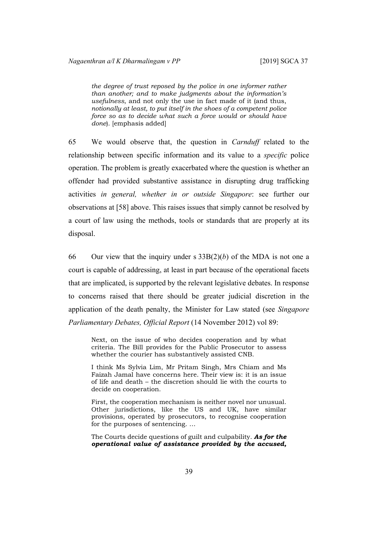*the degree of trust reposed by the police in one informer rather than another; and to make judgments about the information's usefulness*, and not only the use in fact made of it (and thus, *notionally at least, to put itself in the shoes of a competent police force so as to decide what such a force would or should have done*). [emphasis added]

65 We would observe that, the question in *Carnduff* related to the relationship between specific information and its value to a *specific* police operation. The problem is greatly exacerbated where the question is whether an offender had provided substantive assistance in disrupting drug trafficking activities *in general, whether in or outside Singapore*: see further our observations at [\[58](#page-34-0)] above. This raises issues that simply cannot be resolved by a court of law using the methods, tools or standards that are properly at its disposal.

66 Our view that the inquiry under s 33B(2)(*b*) of the MDA is not one a court is capable of addressing, at least in part because of the operational facets that are implicated, is supported by the relevant legislative debates. In response to concerns raised that there should be greater judicial discretion in the application of the death penalty, the Minister for Law stated (see *Singapore Parliamentary Debates, Official Report* (14 November 2012) vol 89:

Next, on the issue of who decides cooperation and by what criteria. The Bill provides for the Public Prosecutor to assess whether the courier has substantively assisted CNB.

I think Ms Sylvia Lim, Mr Pritam Singh, Mrs Chiam and Ms Faizah Jamal have concerns here. Their view is: it is an issue of life and death – the discretion should lie with the courts to decide on cooperation.

First, the cooperation mechanism is neither novel nor unusual. Other jurisdictions, like the US and UK, have similar provisions, operated by prosecutors, to recognise cooperation for the purposes of sentencing. …

The Courts decide questions of guilt and culpability. *As for the operational value of assistance provided by the accused,*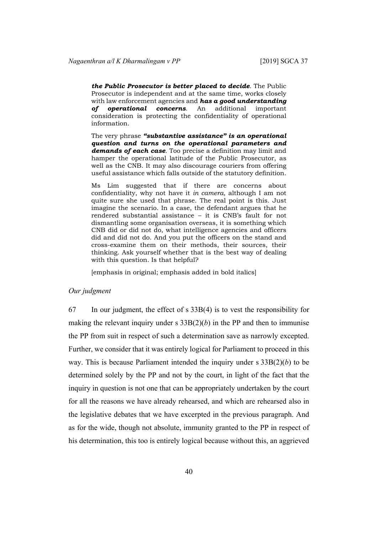*the Public Prosecutor is better placed to decide*. The Public Prosecutor is independent and at the same time, works closely with law enforcement agencies and *has a good understanding of operational concerns*. An additional important consideration is protecting the confidentiality of operational information.

The very phrase *"substantive assistance" is an operational question and turns on the operational parameters and demands of each case*. Too precise a definition may limit and hamper the operational latitude of the Public Prosecutor, as well as the CNB. It may also discourage couriers from offering useful assistance which falls outside of the statutory definition.

Ms Lim suggested that if there are concerns about confidentiality, why not have it *in camera*, although I am not quite sure she used that phrase. The real point is this. Just imagine the scenario. In a case, the defendant argues that he rendered substantial assistance – it is CNB's fault for not dismantling some organisation overseas, it is something which CNB did or did not do, what intelligence agencies and officers did and did not do. And you put the officers on the stand and cross-examine them on their methods, their sources, their thinking. Ask yourself whether that is the best way of dealing with this question. Is that helpful?

[emphasis in original; emphasis added in bold italics]

#### *Our judgment*

67 In our judgment, the effect of s 33B(4) is to vest the responsibility for making the relevant inquiry under s  $33B(2)(b)$  in the PP and then to immunise the PP from suit in respect of such a determination save as narrowly excepted. Further, we consider that it was entirely logical for Parliament to proceed in this way. This is because Parliament intended the inquiry under s 33B(2)(*b*) to be determined solely by the PP and not by the court, in light of the fact that the inquiry in question is not one that can be appropriately undertaken by the court for all the reasons we have already rehearsed, and which are rehearsed also in the legislative debates that we have excerpted in the previous paragraph. And as for the wide, though not absolute, immunity granted to the PP in respect of his determination, this too is entirely logical because without this, an aggrieved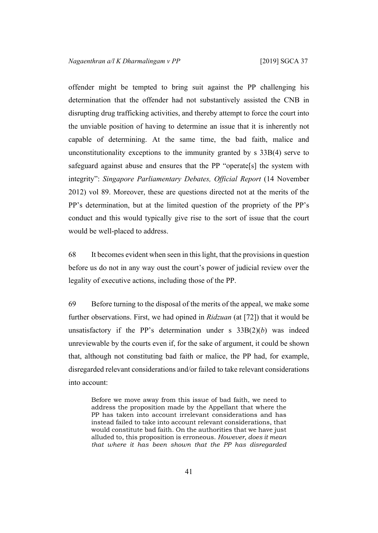offender might be tempted to bring suit against the PP challenging his determination that the offender had not substantively assisted the CNB in disrupting drug trafficking activities, and thereby attempt to force the court into the unviable position of having to determine an issue that it is inherently not capable of determining. At the same time, the bad faith, malice and unconstitutionality exceptions to the immunity granted by s 33B(4) serve to safeguard against abuse and ensures that the PP "operate[s] the system with integrity": *Singapore Parliamentary Debates, Official Report* (14 November 2012) vol 89. Moreover, these are questions directed not at the merits of the PP's determination, but at the limited question of the propriety of the PP's conduct and this would typically give rise to the sort of issue that the court would be well-placed to address.

68 It becomes evident when seen in thislight, that the provisionsin question before us do not in any way oust the court's power of judicial review over the legality of executive actions, including those of the PP.

69 Before turning to the disposal of the merits of the appeal, we make some further observations. First, we had opined in *Ridzuan* (at [72]) that it would be unsatisfactory if the PP's determination under  $s$  33B(2)(*b*) was indeed unreviewable by the courts even if, for the sake of argument, it could be shown that, although not constituting bad faith or malice, the PP had, for example, disregarded relevant considerations and/or failed to take relevant considerations into account:

Before we move away from this issue of bad faith, we need to address the proposition made by the Appellant that where the PP has taken into account irrelevant considerations and has instead failed to take into account relevant considerations, that would constitute bad faith. On the authorities that we have just alluded to, this proposition is erroneous. *However, does it mean that where it has been shown that the PP has disregarded*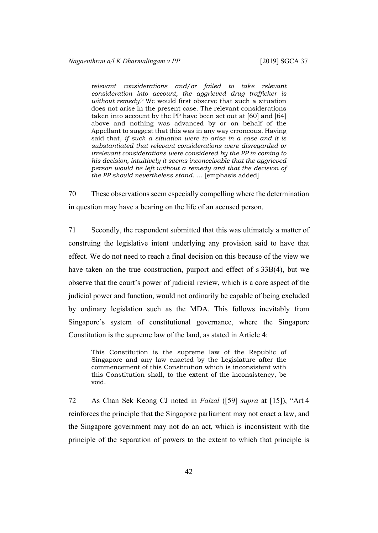*relevant considerations and/or failed to take relevant consideration into account, the aggrieved drug trafficker is without remedy?* We would first observe that such a situation does not arise in the present case. The relevant considerations taken into account by the PP have been set out at [60] and [64] above and nothing was advanced by or on behalf of the Appellant to suggest that this was in any way erroneous. Having said that, *if such a situation were to arise in a case and it is substantiated that relevant considerations were disregarded or irrelevant considerations were considered by the PP in coming to his decision, intuitively it seems inconceivable that the aggrieved person would be left without a remedy and that the decision of the PP should nevertheless stand*. … [emphasis added]

70 These observations seem especially compelling where the determination in question may have a bearing on the life of an accused person.

71 Secondly, the respondent submitted that this was ultimately a matter of construing the legislative intent underlying any provision said to have that effect. We do not need to reach a final decision on this because of the view we have taken on the true construction, purport and effect of s 33B(4), but we observe that the court's power of judicial review, which is a core aspect of the judicial power and function, would not ordinarily be capable of being excluded by ordinary legislation such as the MDA. This follows inevitably from Singapore's system of constitutional governance, where the Singapore Constitution is the supreme law of the land, as stated in Article 4:

This Constitution is the supreme law of the Republic of Singapore and any law enacted by the Legislature after the commencement of this Constitution which is inconsistent with this Constitution shall, to the extent of the inconsistency, be void.

72 As Chan Sek Keong CJ noted in *Faizal* ([[59\]](#page-35-0) *supra* at [15]), "Art 4 reinforces the principle that the Singapore parliament may not enact a law, and the Singapore government may not do an act, which is inconsistent with the principle of the separation of powers to the extent to which that principle is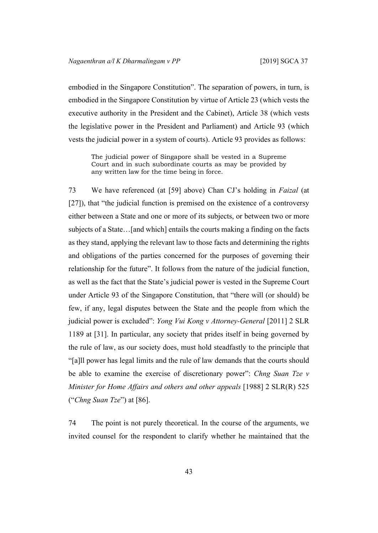embodied in the Singapore Constitution". The separation of powers, in turn, is embodied in the Singapore Constitution by virtue of Article 23 (which vests the executive authority in the President and the Cabinet), Article 38 (which vests the legislative power in the President and Parliament) and Article 93 (which vests the judicial power in a system of courts). Article 93 provides as follows:

The judicial power of Singapore shall be vested in a Supreme Court and in such subordinate courts as may be provided by any written law for the time being in force.

73 We have referenced (at [[59\]](#page-35-0) above) Chan CJ's holding in *Faizal* (at [27]), that "the judicial function is premised on the existence of a controversy either between a State and one or more of its subjects, or between two or more subjects of a State…[and which] entails the courts making a finding on the facts as they stand, applying the relevant law to those facts and determining the rights and obligations of the parties concerned for the purposes of governing their relationship for the future". It follows from the nature of the judicial function, as well as the fact that the State's judicial power is vested in the Supreme Court under Article 93 of the Singapore Constitution, that "there will (or should) be few, if any, legal disputes between the State and the people from which the judicial power is excluded": *Yong Vui Kong v Attorney-General* [2011] 2 SLR 1189 at [31]. In particular, any society that prides itself in being governed by the rule of law, as our society does, must hold steadfastly to the principle that "[a]ll power has legal limits and the rule of law demands that the courts should be able to examine the exercise of discretionary power": *Chng Suan Tze v Minister for Home Affairs and others and other appeals* [1988] 2 SLR(R) 525 ("*Chng Suan Tze*") at [86].

74 The point is not purely theoretical. In the course of the arguments, we invited counsel for the respondent to clarify whether he maintained that the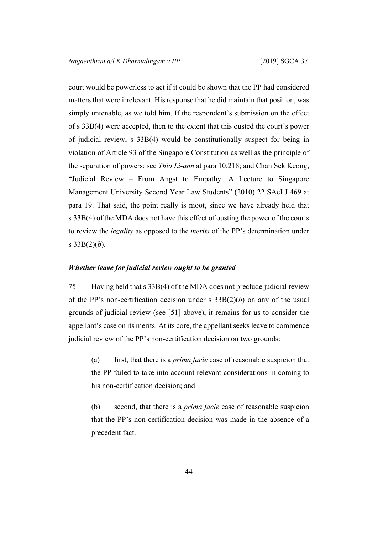court would be powerless to act if it could be shown that the PP had considered matters that were irrelevant. His response that he did maintain that position, was simply untenable, as we told him. If the respondent's submission on the effect of s 33B(4) were accepted, then to the extent that this ousted the court's power of judicial review, s 33B(4) would be constitutionally suspect for being in violation of Article 93 of the Singapore Constitution as well as the principle of the separation of powers: see *Thio Li-ann* at para 10.218; and Chan Sek Keong, "Judicial Review – From Angst to Empathy: A Lecture to Singapore Management University Second Year Law Students" (2010) 22 SAcLJ 469 at para 19. That said, the point really is moot, since we have already held that s 33B(4) of the MDA does not have this effect of ousting the power of the courts to review the *legality* as opposed to the *merits* of the PP's determination under s  $33B(2)(b)$ .

#### *Whether leave for judicial review ought to be granted*

75 Having held that s 33B(4) of the MDA does not preclude judicial review of the PP's non-certification decision under s 33B(2)(*b*) on any of the usual grounds of judicial review (see [\[51](#page-30-0)] above), it remains for us to consider the appellant's case on its merits. At its core, the appellant seeks leave to commence judicial review of the PP's non-certification decision on two grounds:

(a) first, that there is a *prima facie* case of reasonable suspicion that the PP failed to take into account relevant considerations in coming to his non-certification decision; and

(b) second, that there is a *prima facie* case of reasonable suspicion that the PP's non-certification decision was made in the absence of a precedent fact.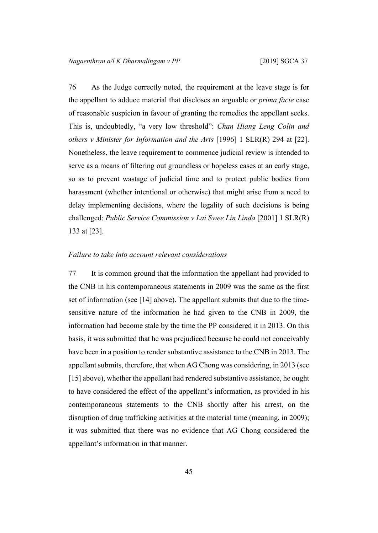76 As the Judge correctly noted, the requirement at the leave stage is for the appellant to adduce material that discloses an arguable or *prima facie* case of reasonable suspicion in favour of granting the remedies the appellant seeks. This is, undoubtedly, "a very low threshold": *Chan Hiang Leng Colin and others v Minister for Information and the Arts* [1996] 1 SLR(R) 294 at [22]. Nonetheless, the leave requirement to commence judicial review is intended to serve as a means of filtering out groundless or hopeless cases at an early stage, so as to prevent wastage of judicial time and to protect public bodies from harassment (whether intentional or otherwise) that might arise from a need to delay implementing decisions, where the legality of such decisions is being challenged: *Public Service Commission v Lai Swee Lin Linda* [2001] 1 SLR(R) 133 at [23].

#### *Failure to take into account relevant considerations*

77 It is common ground that the information the appellant had provided to the CNB in his contemporaneous statements in 2009 was the same as the first set of information (see [[14\]](#page-8-1) above). The appellant submits that due to the timesensitive nature of the information he had given to the CNB in 2009, the information had become stale by the time the PP considered it in 2013. On this basis, it was submitted that he was prejudiced because he could not conceivably have been in a position to render substantive assistance to the CNB in 2013. The appellant submits, therefore, that when AG Chong was considering, in 2013 (see [[15\]](#page-8-2) above), whether the appellant had rendered substantive assistance, he ought to have considered the effect of the appellant's information, as provided in his contemporaneous statements to the CNB shortly after his arrest, on the disruption of drug trafficking activities at the material time (meaning, in 2009); it was submitted that there was no evidence that AG Chong considered the appellant's information in that manner.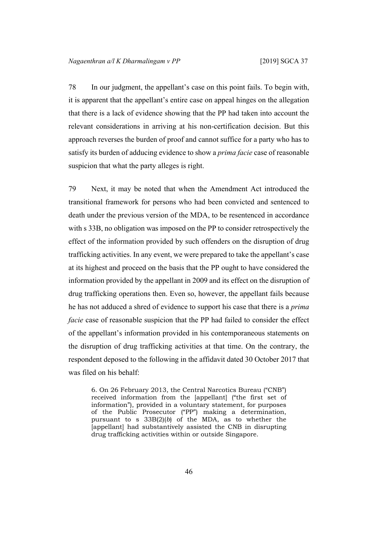78 In our judgment, the appellant's case on this point fails. To begin with, it is apparent that the appellant's entire case on appeal hinges on the allegation that there is a lack of evidence showing that the PP had taken into account the relevant considerations in arriving at his non-certification decision. But this approach reverses the burden of proof and cannot suffice for a party who has to satisfy its burden of adducing evidence to show a *prima facie* case of reasonable suspicion that what the party alleges is right.

79 Next, it may be noted that when the Amendment Act introduced the transitional framework for persons who had been convicted and sentenced to death under the previous version of the MDA, to be resentenced in accordance with s 33B, no obligation was imposed on the PP to consider retrospectively the effect of the information provided by such offenders on the disruption of drug trafficking activities. In any event, we were prepared to take the appellant's case at its highest and proceed on the basis that the PP ought to have considered the information provided by the appellant in 2009 and its effect on the disruption of drug trafficking operations then. Even so, however, the appellant fails because he has not adduced a shred of evidence to support his case that there is a *prima facie* case of reasonable suspicion that the PP had failed to consider the effect of the appellant's information provided in his contemporaneous statements on the disruption of drug trafficking activities at that time. On the contrary, the respondent deposed to the following in the affidavit dated 30 October 2017 that was filed on his behalf:

6. On 26 February 2013, the Central Narcotics Bureau ("CNB") received information from the [appellant] ("the first set of information"), provided in a voluntary statement, for purposes of the Public Prosecutor ("PP") making a determination, pursuant to s 33B(2)(*b*) of the MDA, as to whether the [appellant] had substantively assisted the CNB in disrupting drug trafficking activities within or outside Singapore.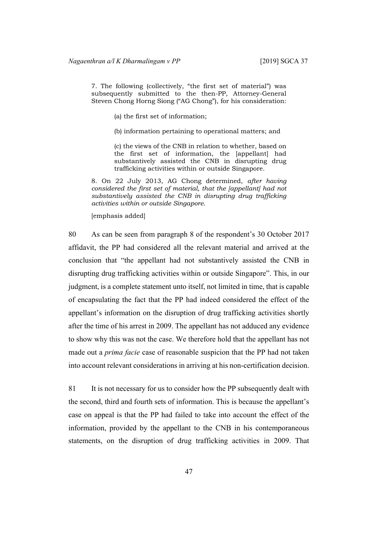7. The following (collectively, "the first set of material") was subsequently submitted to the then-PP, Attorney-General Steven Chong Horng Siong ("AG Chong"), for his consideration:

(a) the first set of information;

(b) information pertaining to operational matters; and

(c) the views of the CNB in relation to whether, based on the first set of information, the [appellant] had substantively assisted the CNB in disrupting drug trafficking activities within or outside Singapore.

8. On 22 July 2013, AG Chong determined, *after having considered the first set of material, that the [appellant] had not substantively assisted the CNB in disrupting drug trafficking activities within or outside Singapore*.

[emphasis added]

80 As can be seen from paragraph 8 of the respondent's 30 October 2017 affidavit, the PP had considered all the relevant material and arrived at the conclusion that "the appellant had not substantively assisted the CNB in disrupting drug trafficking activities within or outside Singapore". This, in our judgment, is a complete statement unto itself, not limited in time, that is capable of encapsulating the fact that the PP had indeed considered the effect of the appellant's information on the disruption of drug trafficking activities shortly after the time of his arrest in 2009. The appellant has not adduced any evidence to show why this was not the case. We therefore hold that the appellant has not made out a *prima facie* case of reasonable suspicion that the PP had not taken into account relevant considerations in arriving at his non-certification decision.

81 It is not necessary for us to consider how the PP subsequently dealt with the second, third and fourth sets of information. This is because the appellant's case on appeal is that the PP had failed to take into account the effect of the information, provided by the appellant to the CNB in his contemporaneous statements, on the disruption of drug trafficking activities in 2009. That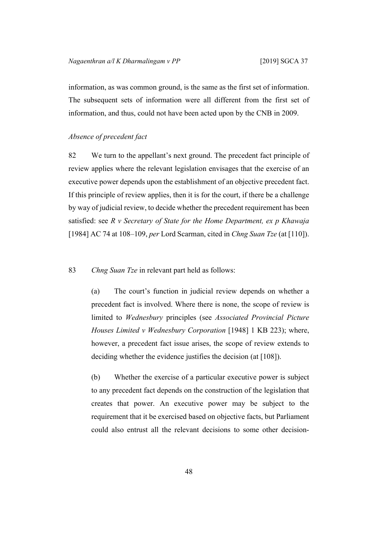information, as was common ground, is the same as the first set of information. The subsequent sets of information were all different from the first set of information, and thus, could not have been acted upon by the CNB in 2009.

# *Absence of precedent fact*

82 We turn to the appellant's next ground. The precedent fact principle of review applies where the relevant legislation envisages that the exercise of an executive power depends upon the establishment of an objective precedent fact. If this principle of review applies, then it is for the court, if there be a challenge by way of judicial review, to decide whether the precedent requirement has been satisfied: see *R v Secretary of State for the Home Department, ex p Khawaja* [1984] AC 74 at 108–109, *per* Lord Scarman, cited in *Chng Suan Tze* (at [110]).

83 *Chng Suan Tze* in relevant part held as follows:

(a) The court's function in judicial review depends on whether a precedent fact is involved. Where there is none, the scope of review is limited to *Wednesbury* principles (see *Associated Provincial Picture Houses Limited v Wednesbury Corporation* [1948] 1 KB 223); where, however, a precedent fact issue arises, the scope of review extends to deciding whether the evidence justifies the decision (at [108]).

(b) Whether the exercise of a particular executive power is subject to any precedent fact depends on the construction of the legislation that creates that power. An executive power may be subject to the requirement that it be exercised based on objective facts, but Parliament could also entrust all the relevant decisions to some other decision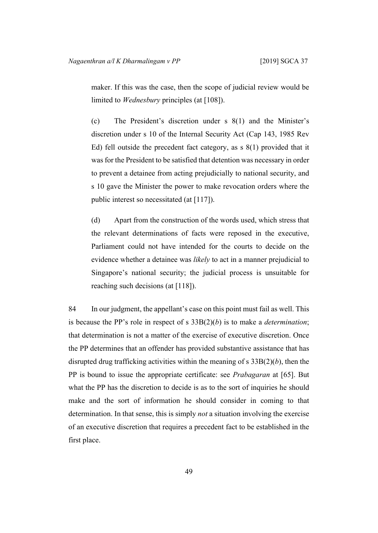maker. If this was the case, then the scope of judicial review would be limited to *Wednesbury* principles (at [108]).

(c) The President's discretion under s 8(1) and the Minister's discretion under s 10 of the Internal Security Act (Cap 143, 1985 Rev Ed) fell outside the precedent fact category, as s 8(1) provided that it was for the President to be satisfied that detention was necessary in order to prevent a detainee from acting prejudicially to national security, and s 10 gave the Minister the power to make revocation orders where the public interest so necessitated (at [117]).

(d) Apart from the construction of the words used, which stress that the relevant determinations of facts were reposed in the executive, Parliament could not have intended for the courts to decide on the evidence whether a detainee was *likely* to act in a manner prejudicial to Singapore's national security; the judicial process is unsuitable for reaching such decisions (at [118]).

<span id="page-50-0"></span>84 In our judgment, the appellant's case on this point must fail as well. This is because the PP's role in respect of s 33B(2)(*b*) is to make a *determination*; that determination is not a matter of the exercise of executive discretion. Once the PP determines that an offender has provided substantive assistance that has disrupted drug trafficking activities within the meaning of s 33B(2)(*b*), then the PP is bound to issue the appropriate certificate: see *Prabagaran* at [65]. But what the PP has the discretion to decide is as to the sort of inquiries he should make and the sort of information he should consider in coming to that determination. In that sense, this is simply *not* a situation involving the exercise of an executive discretion that requires a precedent fact to be established in the first place.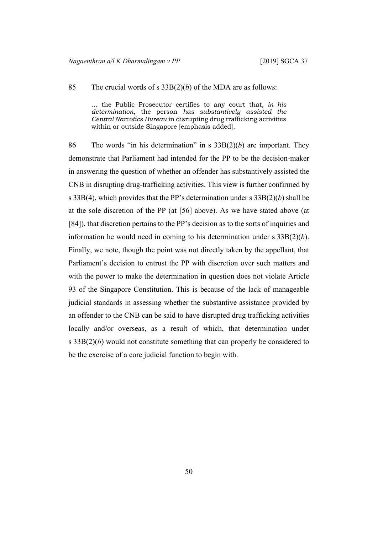85 The crucial words of s 33B(2)(*b*) of the MDA are as follows:

… the Public Prosecutor certifies to any court that, *in his determination*, the person *has substantively assisted the Central Narcotics Bureau* in disrupting drug trafficking activities within or outside Singapore [emphasis added].

86 The words "in his determination" in s 33B(2)(*b*) are important. They demonstrate that Parliament had intended for the PP to be the decision-maker in answering the question of whether an offender has substantively assisted the CNB in disrupting drug-trafficking activities. This view is further confirmed by s 33B(4), which provides that the PP's determination under s 33B(2)(*b*) shall be at the sole discretion of the PP (at [[56\]](#page-33-0) above). As we have stated above (at [[84\]](#page-50-0)), that discretion pertains to the PP's decision as to the sorts of inquiries and information he would need in coming to his determination under s 33B(2)(*b*). Finally, we note, though the point was not directly taken by the appellant, that Parliament's decision to entrust the PP with discretion over such matters and with the power to make the determination in question does not violate Article 93 of the Singapore Constitution. This is because of the lack of manageable judicial standards in assessing whether the substantive assistance provided by an offender to the CNB can be said to have disrupted drug trafficking activities locally and/or overseas, as a result of which, that determination under s 33B(2)(*b*) would not constitute something that can properly be considered to be the exercise of a core judicial function to begin with.